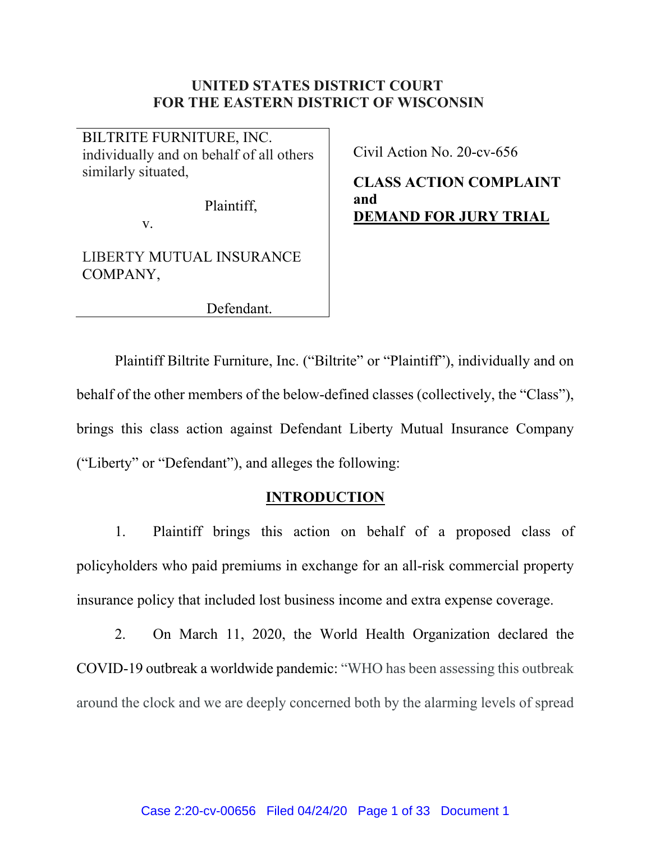## **UNITED STATES DISTRICT COURT FOR THE EASTERN DISTRICT OF WISCONSIN**

BILTRITE FURNITURE, INC. individually and on behalf of all others similarly situated,

Plaintiff,

v.

LIBERTY MUTUAL INSURANCE COMPANY,

Defendant.

Civil Action No. 20-cv-656

**CLASS ACTION COMPLAINT and DEMAND FOR JURY TRIAL** 

Plaintiff Biltrite Furniture, Inc. ("Biltrite" or "Plaintiff"), individually and on behalf of the other members of the below-defined classes (collectively, the "Class"), brings this class action against Defendant Liberty Mutual Insurance Company ("Liberty" or "Defendant"), and alleges the following:

## **INTRODUCTION**

1. Plaintiff brings this action on behalf of a proposed class of policyholders who paid premiums in exchange for an all-risk commercial property insurance policy that included lost business income and extra expense coverage.

2. On March 11, 2020, the World Health Organization declared the COVID-19 outbreak a worldwide pandemic: "WHO has been assessing this outbreak around the clock and we are deeply concerned both by the alarming levels of spread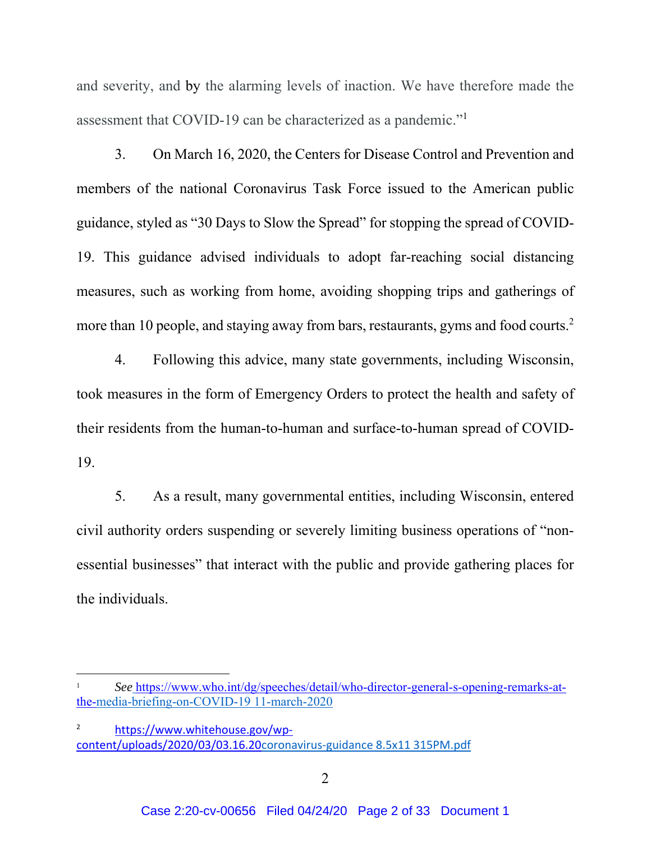and severity, and by the alarming levels of inaction. We have therefore made the assessment that COVID-19 can be characterized as a pandemic."1

3. On March 16, 2020, the Centers for Disease Control and Prevention and members of the national Coronavirus Task Force issued to the American public guidance, styled as "30 Days to Slow the Spread" for stopping the spread of COVID-19. This guidance advised individuals to adopt far-reaching social distancing measures, such as working from home, avoiding shopping trips and gatherings of more than 10 people, and staying away from bars, restaurants, gyms and food courts.<sup>2</sup>

4. Following this advice, many state governments, including Wisconsin, took measures in the form of Emergency Orders to protect the health and safety of their residents from the human-to-human and surface-to-human spread of COVID-19.

5. As a result, many governmental entities, including Wisconsin, entered civil authority orders suspending or severely limiting business operations of "nonessential businesses" that interact with the public and provide gathering places for the individuals.

<sup>1</sup> *See* https://www.who.int/dg/speeches/detail/who-director-general-s-opening-remarks-atthe-media-briefing-on-COVID-19 11-march-2020

<sup>2</sup> https://www.whitehouse.gov/wp‐ content/uploads/2020/03/03.16.20coronavirus‐guidance 8.5x11 315PM.pdf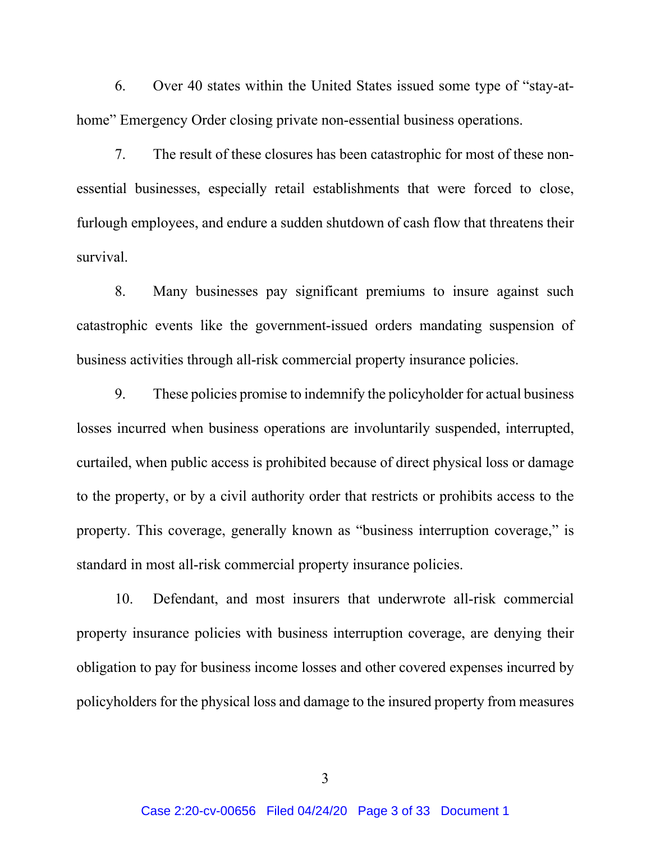6. Over 40 states within the United States issued some type of "stay-athome" Emergency Order closing private non-essential business operations.

7. The result of these closures has been catastrophic for most of these nonessential businesses, especially retail establishments that were forced to close, furlough employees, and endure a sudden shutdown of cash flow that threatens their survival.

8. Many businesses pay significant premiums to insure against such catastrophic events like the government-issued orders mandating suspension of business activities through all-risk commercial property insurance policies.

9. These policies promise to indemnify the policyholder for actual business losses incurred when business operations are involuntarily suspended, interrupted, curtailed, when public access is prohibited because of direct physical loss or damage to the property, or by a civil authority order that restricts or prohibits access to the property. This coverage, generally known as "business interruption coverage," is standard in most all-risk commercial property insurance policies.

10. Defendant, and most insurers that underwrote all-risk commercial property insurance policies with business interruption coverage, are denying their obligation to pay for business income losses and other covered expenses incurred by policyholders for the physical loss and damage to the insured property from measures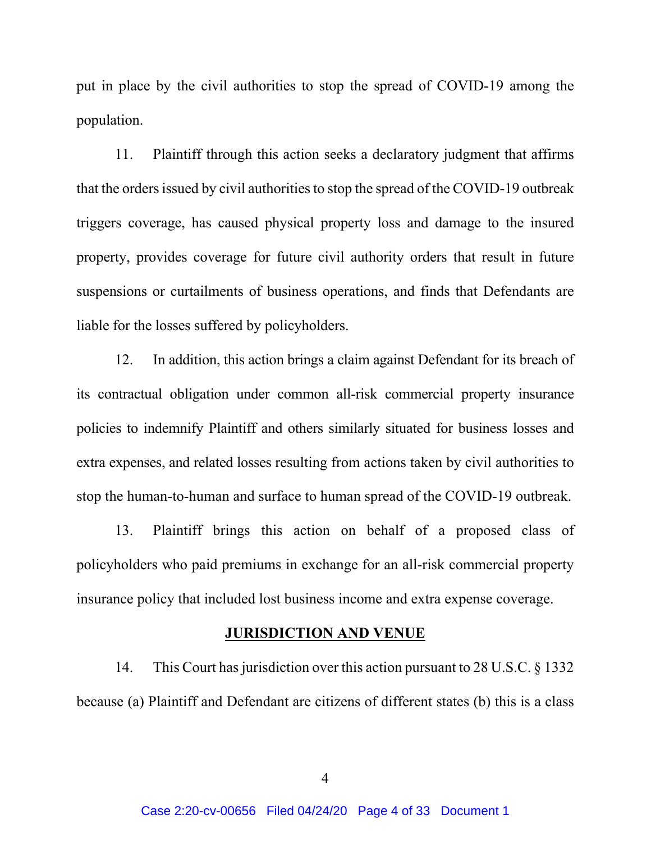put in place by the civil authorities to stop the spread of COVID-19 among the population.

11. Plaintiff through this action seeks a declaratory judgment that affirms that the orders issued by civil authorities to stop the spread of the COVID-19 outbreak triggers coverage, has caused physical property loss and damage to the insured property, provides coverage for future civil authority orders that result in future suspensions or curtailments of business operations, and finds that Defendants are liable for the losses suffered by policyholders.

12. In addition, this action brings a claim against Defendant for its breach of its contractual obligation under common all-risk commercial property insurance policies to indemnify Plaintiff and others similarly situated for business losses and extra expenses, and related losses resulting from actions taken by civil authorities to stop the human-to-human and surface to human spread of the COVID-19 outbreak.

13. Plaintiff brings this action on behalf of a proposed class of policyholders who paid premiums in exchange for an all-risk commercial property insurance policy that included lost business income and extra expense coverage.

#### **JURISDICTION AND VENUE**

14. This Court has jurisdiction over this action pursuant to 28 U.S.C. § 1332 because (a) Plaintiff and Defendant are citizens of different states (b) this is a class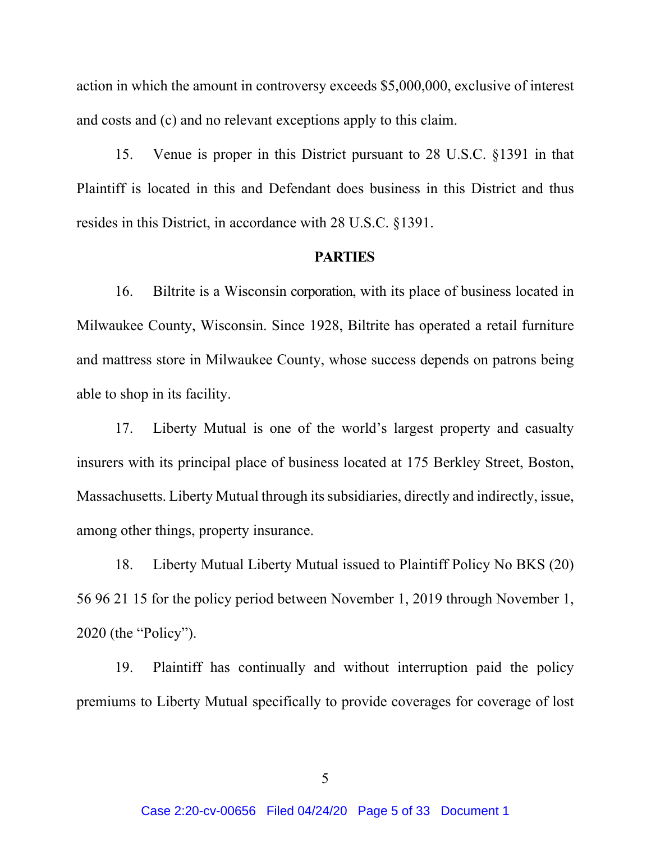action in which the amount in controversy exceeds \$5,000,000, exclusive of interest and costs and (c) and no relevant exceptions apply to this claim.

15. Venue is proper in this District pursuant to 28 U.S.C. §1391 in that Plaintiff is located in this and Defendant does business in this District and thus resides in this District, in accordance with 28 U.S.C. §1391.

#### **PARTIES**

16. Biltrite is a Wisconsin corporation, with its place of business located in Milwaukee County, Wisconsin. Since 1928, Biltrite has operated a retail furniture and mattress store in Milwaukee County, whose success depends on patrons being able to shop in its facility.

17. Liberty Mutual is one of the world's largest property and casualty insurers with its principal place of business located at 175 Berkley Street, Boston, Massachusetts. Liberty Mutual through its subsidiaries, directly and indirectly, issue, among other things, property insurance.

18. Liberty Mutual Liberty Mutual issued to Plaintiff Policy No BKS (20) 56 96 21 15 for the policy period between November 1, 2019 through November 1, 2020 (the "Policy").

19. Plaintiff has continually and without interruption paid the policy premiums to Liberty Mutual specifically to provide coverages for coverage of lost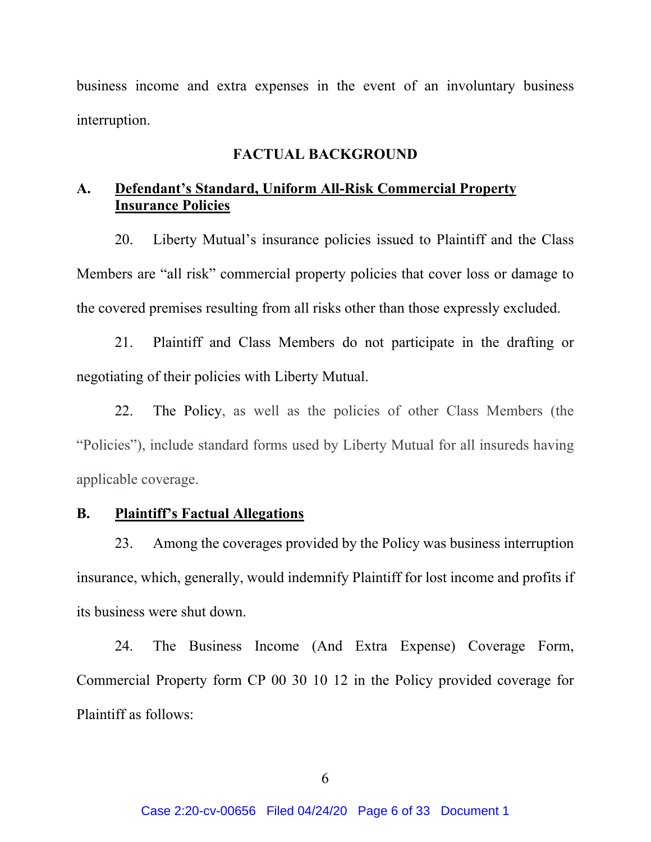business income and extra expenses in the event of an involuntary business interruption.

## **FACTUAL BACKGROUND**

## **A. Defendant's Standard, Uniform All-Risk Commercial Property Insurance Policies**

20. Liberty Mutual's insurance policies issued to Plaintiff and the Class Members are "all risk" commercial property policies that cover loss or damage to the covered premises resulting from all risks other than those expressly excluded.

21. Plaintiff and Class Members do not participate in the drafting or negotiating of their policies with Liberty Mutual.

22. The Policy, as well as the policies of other Class Members (the "Policies"), include standard forms used by Liberty Mutual for all insureds having applicable coverage.

#### **B. Plaintiff's Factual Allegations**

23. Among the coverages provided by the Policy was business interruption insurance, which, generally, would indemnify Plaintiff for lost income and profits if its business were shut down.

24. The Business Income (And Extra Expense) Coverage Form, Commercial Property form CP 00 30 10 12 in the Policy provided coverage for Plaintiff as follows: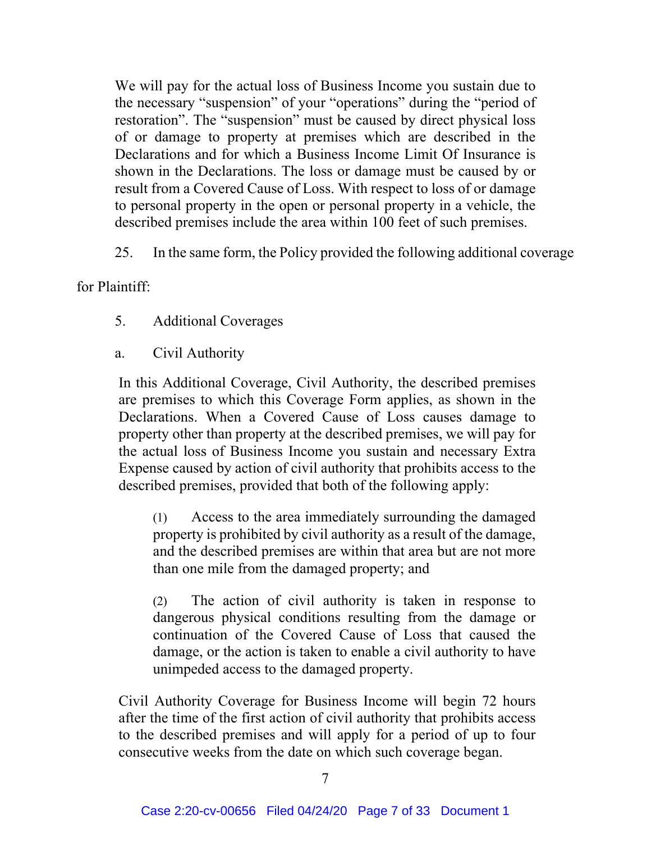We will pay for the actual loss of Business Income you sustain due to the necessary "suspension" of your "operations" during the "period of restoration". The "suspension" must be caused by direct physical loss of or damage to property at premises which are described in the Declarations and for which a Business Income Limit Of Insurance is shown in the Declarations. The loss or damage must be caused by or result from a Covered Cause of Loss. With respect to loss of or damage to personal property in the open or personal property in a vehicle, the described premises include the area within 100 feet of such premises.

25. In the same form, the Policy provided the following additional coverage

for Plaintiff:

- 5. Additional Coverages
- a. Civil Authority

In this Additional Coverage, Civil Authority, the described premises are premises to which this Coverage Form applies, as shown in the Declarations. When a Covered Cause of Loss causes damage to property other than property at the described premises, we will pay for the actual loss of Business Income you sustain and necessary Extra Expense caused by action of civil authority that prohibits access to the described premises, provided that both of the following apply:

(1) Access to the area immediately surrounding the damaged property is prohibited by civil authority as a result of the damage, and the described premises are within that area but are not more than one mile from the damaged property; and

(2) The action of civil authority is taken in response to dangerous physical conditions resulting from the damage or continuation of the Covered Cause of Loss that caused the damage, or the action is taken to enable a civil authority to have unimpeded access to the damaged property.

Civil Authority Coverage for Business Income will begin 72 hours after the time of the first action of civil authority that prohibits access to the described premises and will apply for a period of up to four consecutive weeks from the date on which such coverage began.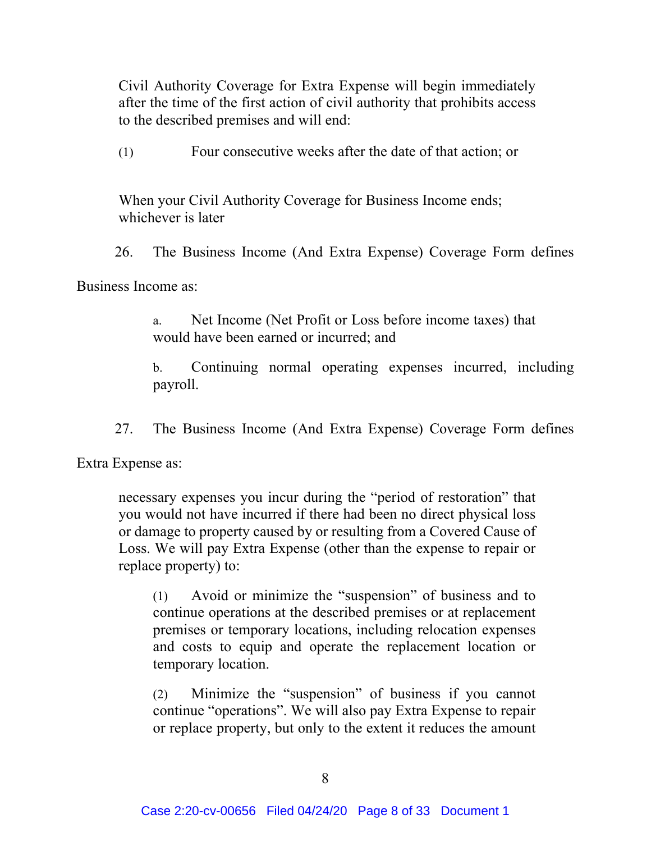Civil Authority Coverage for Extra Expense will begin immediately after the time of the first action of civil authority that prohibits access to the described premises and will end:

(1) Four consecutive weeks after the date of that action; or

When your Civil Authority Coverage for Business Income ends; whichever is later

26. The Business Income (And Extra Expense) Coverage Form defines

Business Income as:

a. Net Income (Net Profit or Loss before income taxes) that would have been earned or incurred; and

b. Continuing normal operating expenses incurred, including payroll.

27. The Business Income (And Extra Expense) Coverage Form defines

Extra Expense as:

necessary expenses you incur during the "period of restoration" that you would not have incurred if there had been no direct physical loss or damage to property caused by or resulting from a Covered Cause of Loss. We will pay Extra Expense (other than the expense to repair or replace property) to:

(1) Avoid or minimize the "suspension" of business and to continue operations at the described premises or at replacement premises or temporary locations, including relocation expenses and costs to equip and operate the replacement location or temporary location.

(2) Minimize the "suspension" of business if you cannot continue "operations". We will also pay Extra Expense to repair or replace property, but only to the extent it reduces the amount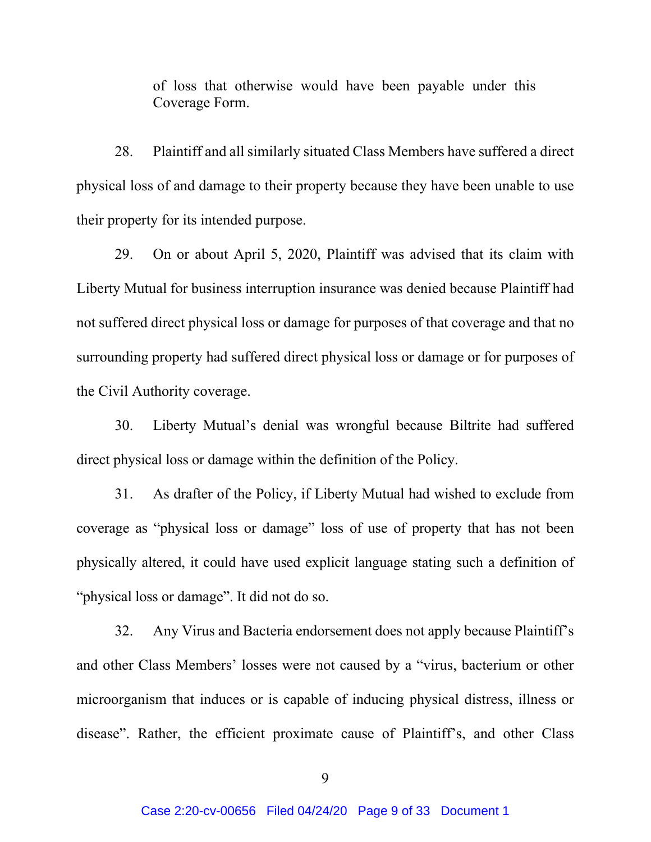of loss that otherwise would have been payable under this Coverage Form.

28. Plaintiff and all similarly situated Class Members have suffered a direct physical loss of and damage to their property because they have been unable to use their property for its intended purpose.

29. On or about April 5, 2020, Plaintiff was advised that its claim with Liberty Mutual for business interruption insurance was denied because Plaintiff had not suffered direct physical loss or damage for purposes of that coverage and that no surrounding property had suffered direct physical loss or damage or for purposes of the Civil Authority coverage.

30. Liberty Mutual's denial was wrongful because Biltrite had suffered direct physical loss or damage within the definition of the Policy.

31. As drafter of the Policy, if Liberty Mutual had wished to exclude from coverage as "physical loss or damage" loss of use of property that has not been physically altered, it could have used explicit language stating such a definition of "physical loss or damage". It did not do so.

32. Any Virus and Bacteria endorsement does not apply because Plaintiff's and other Class Members' losses were not caused by a "virus, bacterium or other microorganism that induces or is capable of inducing physical distress, illness or disease". Rather, the efficient proximate cause of Plaintiff's, and other Class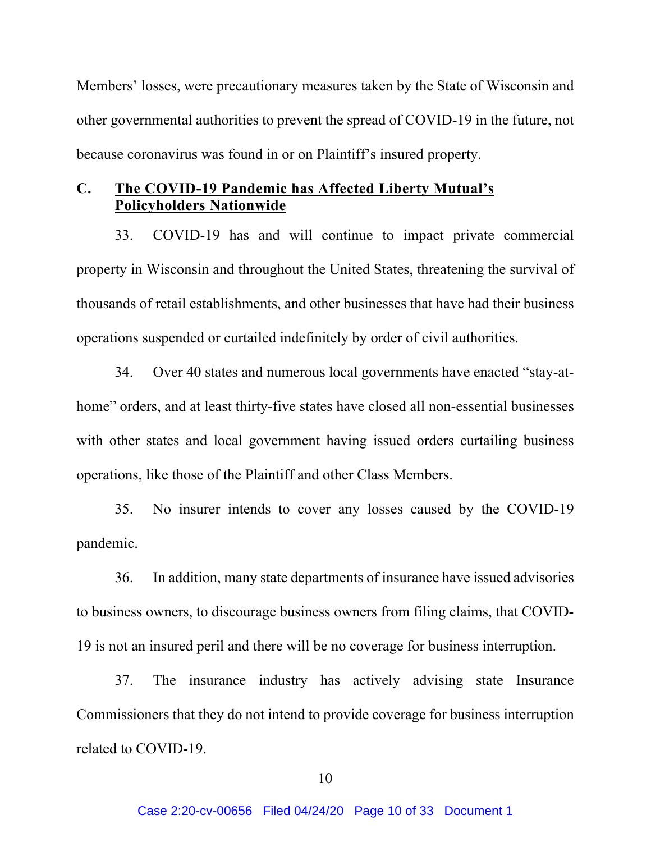Members' losses, were precautionary measures taken by the State of Wisconsin and other governmental authorities to prevent the spread of COVID-19 in the future, not because coronavirus was found in or on Plaintiff's insured property.

## **C. The COVID-19 Pandemic has Affected Liberty Mutual's Policyholders Nationwide**

33. COVID-19 has and will continue to impact private commercial property in Wisconsin and throughout the United States, threatening the survival of thousands of retail establishments, and other businesses that have had their business operations suspended or curtailed indefinitely by order of civil authorities.

34. Over 40 states and numerous local governments have enacted "stay-athome" orders, and at least thirty-five states have closed all non-essential businesses with other states and local government having issued orders curtailing business operations, like those of the Plaintiff and other Class Members.

35. No insurer intends to cover any losses caused by the COVID-19 pandemic.

36. In addition, many state departments of insurance have issued advisories to business owners, to discourage business owners from filing claims, that COVID-19 is not an insured peril and there will be no coverage for business interruption.

37. The insurance industry has actively advising state Insurance Commissioners that they do not intend to provide coverage for business interruption related to COVID-19.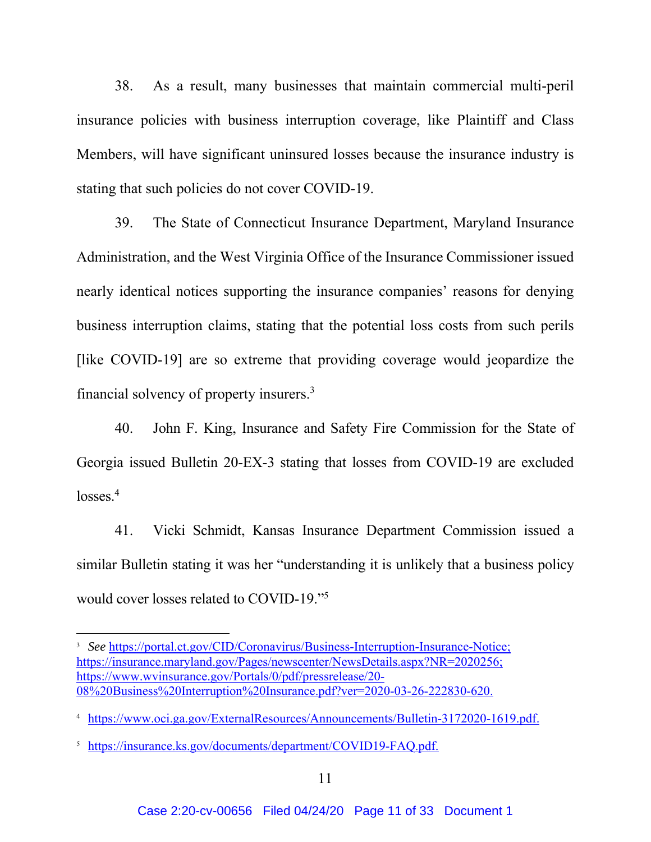38. As a result, many businesses that maintain commercial multi-peril insurance policies with business interruption coverage, like Plaintiff and Class Members, will have significant uninsured losses because the insurance industry is stating that such policies do not cover COVID-19.

39. The State of Connecticut Insurance Department, Maryland Insurance Administration, and the West Virginia Office of the Insurance Commissioner issued nearly identical notices supporting the insurance companies' reasons for denying business interruption claims, stating that the potential loss costs from such perils [like COVID-19] are so extreme that providing coverage would jeopardize the financial solvency of property insurers.3

40. John F. King, Insurance and Safety Fire Commission for the State of Georgia issued Bulletin 20-EX-3 stating that losses from COVID-19 are excluded losses.<sup>4</sup>

41. Vicki Schmidt, Kansas Insurance Department Commission issued a similar Bulletin stating it was her "understanding it is unlikely that a business policy would cover losses related to COVID-19."5

<sup>&</sup>lt;sup>3</sup> See https://portal.ct.gov/CID/Coronavirus/Business-Interruption-Insurance-Notice; https://insurance.maryland.gov/Pages/newscenter/NewsDetails.aspx?NR=2020256; https://www.wvinsurance.gov/Portals/0/pdf/pressrelease/20- 08%20Business%20Interruption%20Insurance.pdf?ver=2020-03-26-222830-620.

<sup>4</sup> https://www.oci.ga.gov/ExternalResources/Announcements/Bulletin-3172020-1619.pdf.

<sup>&</sup>lt;sup>5</sup> https://insurance.ks.gov/documents/department/COVID19-FAQ.pdf.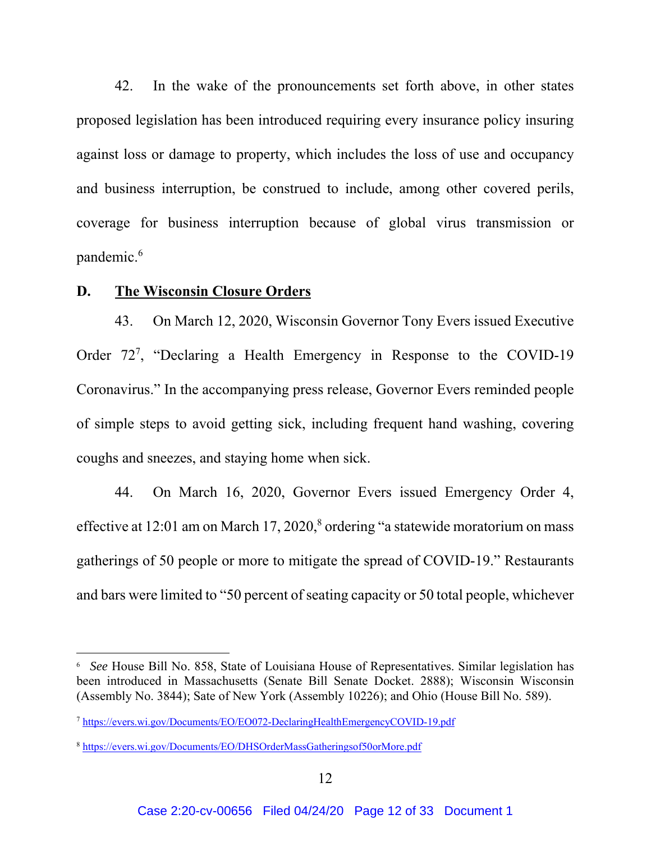42. In the wake of the pronouncements set forth above, in other states proposed legislation has been introduced requiring every insurance policy insuring against loss or damage to property, which includes the loss of use and occupancy and business interruption, be construed to include, among other covered perils, coverage for business interruption because of global virus transmission or pandemic.<sup>6</sup>

#### **D. The Wisconsin Closure Orders**

43. On March 12, 2020, Wisconsin Governor Tony Evers issued Executive Order 72<sup>7</sup>, "Declaring a Health Emergency in Response to the COVID-19 Coronavirus." In the accompanying press release, Governor Evers reminded people of simple steps to avoid getting sick, including frequent hand washing, covering coughs and sneezes, and staying home when sick.

44. On March 16, 2020, Governor Evers issued Emergency Order 4, effective at 12:01 am on March 17, 2020,<sup>8</sup> ordering "a statewide moratorium on mass gatherings of 50 people or more to mitigate the spread of COVID-19." Restaurants and bars were limited to "50 percent of seating capacity or 50 total people, whichever

<sup>6</sup> *See* House Bill No. 858, State of Louisiana House of Representatives. Similar legislation has been introduced in Massachusetts (Senate Bill Senate Docket. 2888); Wisconsin Wisconsin (Assembly No. 3844); Sate of New York (Assembly 10226); and Ohio (House Bill No. 589).

<sup>7</sup> https://evers.wi.gov/Documents/EO/EO072-DeclaringHealthEmergencyCOVID-19.pdf

<sup>8</sup> https://evers.wi.gov/Documents/EO/DHSOrderMassGatheringsof50orMore.pdf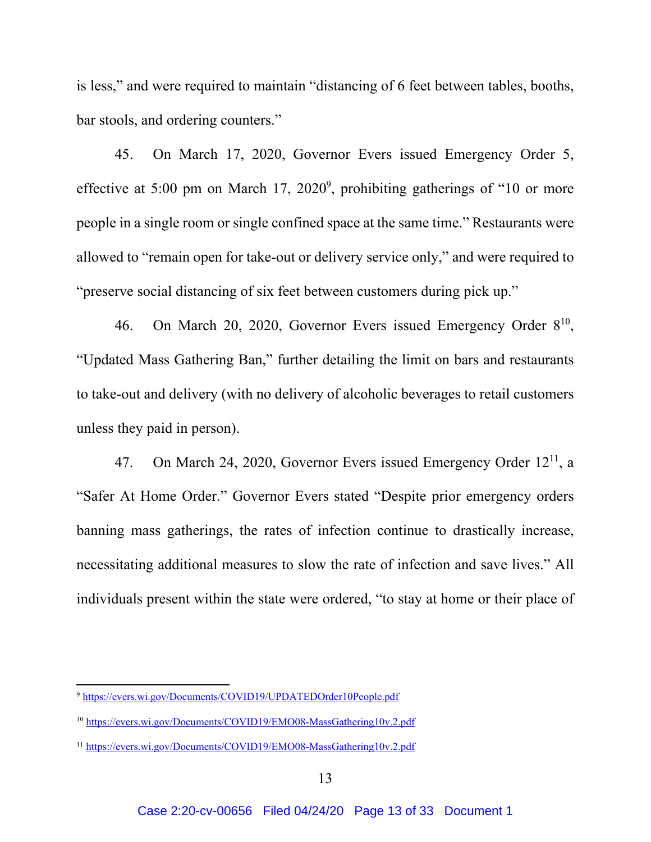is less," and were required to maintain "distancing of 6 feet between tables, booths, bar stools, and ordering counters."

45. On March 17, 2020, Governor Evers issued Emergency Order 5, effective at 5:00 pm on March 17,  $2020^9$ , prohibiting gatherings of "10 or more people in a single room or single confined space at the same time." Restaurants were allowed to "remain open for take-out or delivery service only," and were required to "preserve social distancing of six feet between customers during pick up."

46. On March 20, 2020, Governor Evers issued Emergency Order  $8^{10}$ , "Updated Mass Gathering Ban," further detailing the limit on bars and restaurants to take-out and delivery (with no delivery of alcoholic beverages to retail customers unless they paid in person).

47. On March 24, 2020, Governor Evers issued Emergency Order  $12^{11}$ , a "Safer At Home Order." Governor Evers stated "Despite prior emergency orders banning mass gatherings, the rates of infection continue to drastically increase, necessitating additional measures to slow the rate of infection and save lives." All individuals present within the state were ordered, "to stay at home or their place of

<sup>9</sup> https://evers.wi.gov/Documents/COVID19/UPDATEDOrder10People.pdf

<sup>10</sup> https://evers.wi.gov/Documents/COVID19/EMO08-MassGathering10v.2.pdf

<sup>11</sup> https://evers.wi.gov/Documents/COVID19/EMO08-MassGathering10v.2.pdf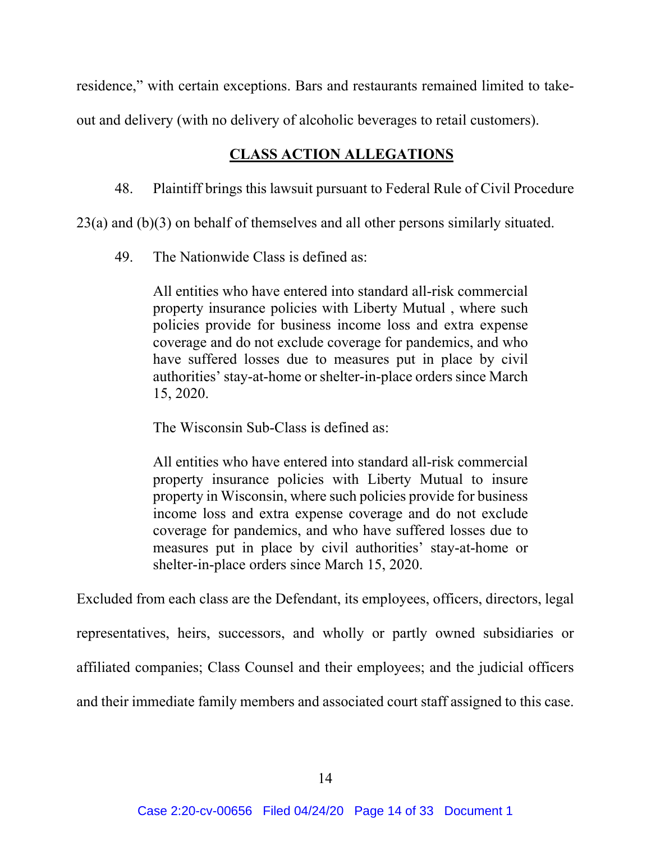residence," with certain exceptions. Bars and restaurants remained limited to takeout and delivery (with no delivery of alcoholic beverages to retail customers).

## **CLASS ACTION ALLEGATIONS**

48. Plaintiff brings this lawsuit pursuant to Federal Rule of Civil Procedure

 $23(a)$  and  $(b)(3)$  on behalf of themselves and all other persons similarly situated.

49. The Nationwide Class is defined as:

All entities who have entered into standard all-risk commercial property insurance policies with Liberty Mutual , where such policies provide for business income loss and extra expense coverage and do not exclude coverage for pandemics, and who have suffered losses due to measures put in place by civil authorities' stay-at-home or shelter-in-place orders since March 15, 2020.

The Wisconsin Sub-Class is defined as:

All entities who have entered into standard all-risk commercial property insurance policies with Liberty Mutual to insure property in Wisconsin, where such policies provide for business income loss and extra expense coverage and do not exclude coverage for pandemics, and who have suffered losses due to measures put in place by civil authorities' stay-at-home or shelter-in-place orders since March 15, 2020.

Excluded from each class are the Defendant, its employees, officers, directors, legal representatives, heirs, successors, and wholly or partly owned subsidiaries or affiliated companies; Class Counsel and their employees; and the judicial officers and their immediate family members and associated court staff assigned to this case.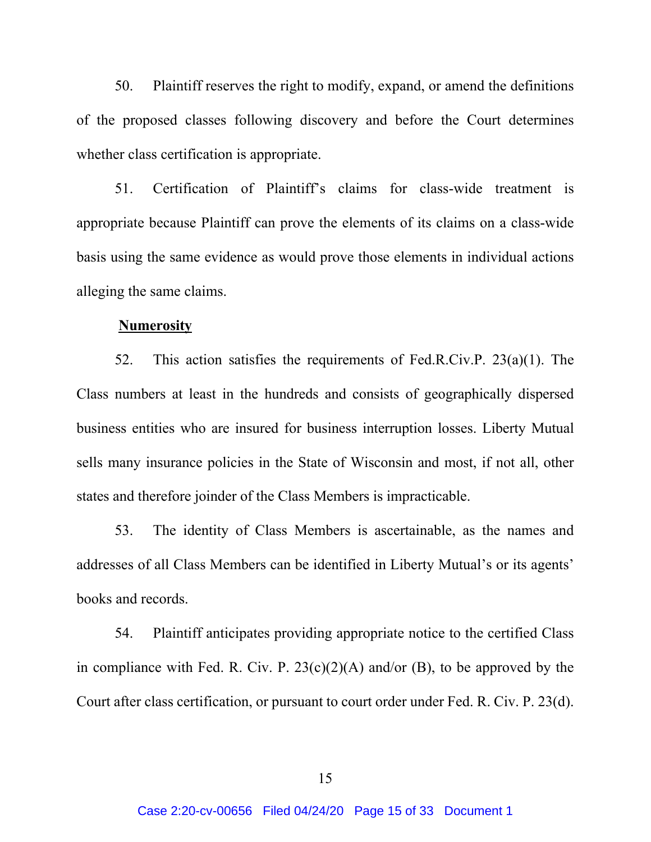50. Plaintiff reserves the right to modify, expand, or amend the definitions of the proposed classes following discovery and before the Court determines whether class certification is appropriate.

51. Certification of Plaintiff's claims for class-wide treatment is appropriate because Plaintiff can prove the elements of its claims on a class-wide basis using the same evidence as would prove those elements in individual actions alleging the same claims.

#### **Numerosity**

52. This action satisfies the requirements of Fed.R.Civ.P. 23(a)(1). The Class numbers at least in the hundreds and consists of geographically dispersed business entities who are insured for business interruption losses. Liberty Mutual sells many insurance policies in the State of Wisconsin and most, if not all, other states and therefore joinder of the Class Members is impracticable.

53. The identity of Class Members is ascertainable, as the names and addresses of all Class Members can be identified in Liberty Mutual's or its agents' books and records.

54. Plaintiff anticipates providing appropriate notice to the certified Class in compliance with Fed. R. Civ. P.  $23(c)(2)(A)$  and/or (B), to be approved by the Court after class certification, or pursuant to court order under Fed. R. Civ. P. 23(d).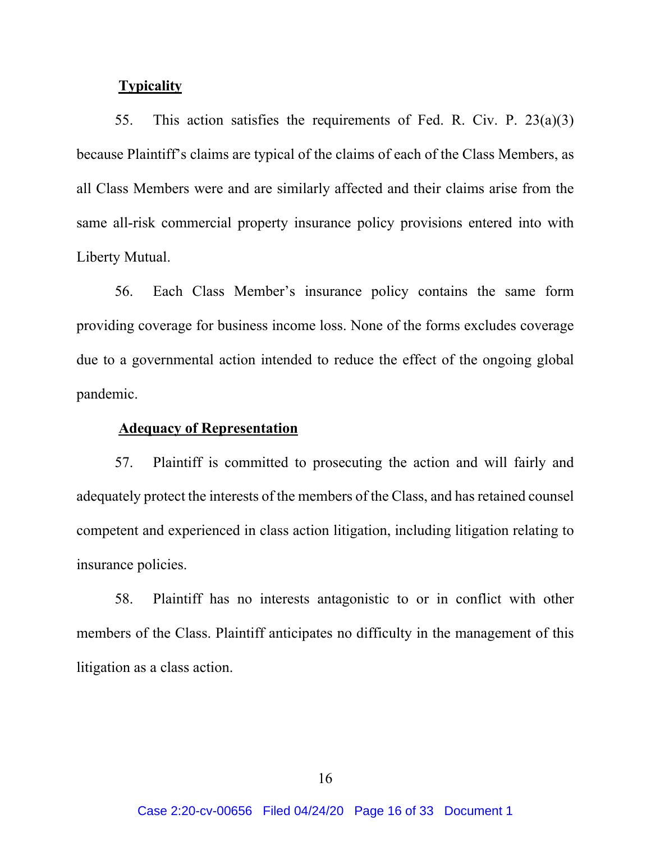#### **Typicality**

55. This action satisfies the requirements of Fed. R. Civ. P. 23(a)(3) because Plaintiff's claims are typical of the claims of each of the Class Members, as all Class Members were and are similarly affected and their claims arise from the same all-risk commercial property insurance policy provisions entered into with Liberty Mutual.

56. Each Class Member's insurance policy contains the same form providing coverage for business income loss. None of the forms excludes coverage due to a governmental action intended to reduce the effect of the ongoing global pandemic.

## **Adequacy of Representation**

57. Plaintiff is committed to prosecuting the action and will fairly and adequately protect the interests of the members of the Class, and has retained counsel competent and experienced in class action litigation, including litigation relating to insurance policies.

58. Plaintiff has no interests antagonistic to or in conflict with other members of the Class. Plaintiff anticipates no difficulty in the management of this litigation as a class action.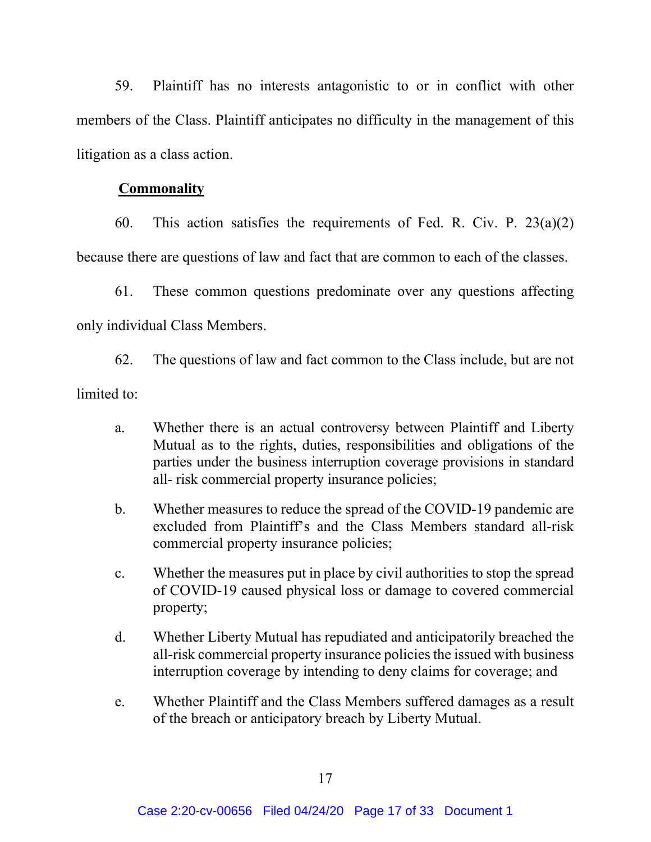59. Plaintiff has no interests antagonistic to or in conflict with other members of the Class. Plaintiff anticipates no difficulty in the management of this litigation as a class action.

#### **Commonality**

60. This action satisfies the requirements of Fed. R. Civ. P.  $23(a)(2)$ because there are questions of law and fact that are common to each of the classes.

61. These common questions predominate over any questions affecting only individual Class Members.

62. The questions of law and fact common to the Class include, but are not

limited to:

- a. Whether there is an actual controversy between Plaintiff and Liberty Mutual as to the rights, duties, responsibilities and obligations of the parties under the business interruption coverage provisions in standard all- risk commercial property insurance policies;
- b. Whether measures to reduce the spread of the COVID-19 pandemic are excluded from Plaintiff's and the Class Members standard all-risk commercial property insurance policies;
- c. Whether the measures put in place by civil authorities to stop the spread of COVID-19 caused physical loss or damage to covered commercial property;
- d. Whether Liberty Mutual has repudiated and anticipatorily breached the all-risk commercial property insurance policies the issued with business interruption coverage by intending to deny claims for coverage; and
- e. Whether Plaintiff and the Class Members suffered damages as a result of the breach or anticipatory breach by Liberty Mutual.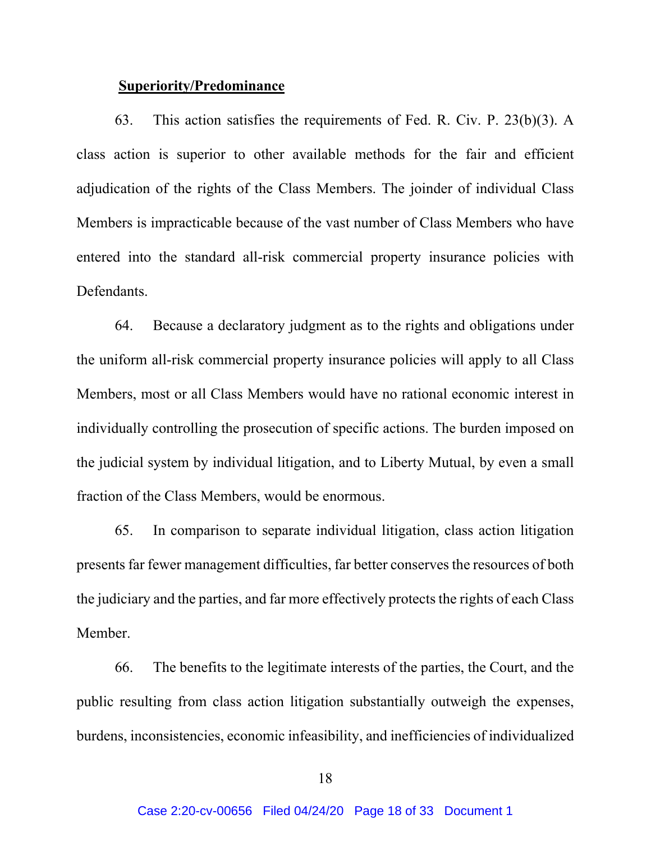#### **Superiority/Predominance**

63. This action satisfies the requirements of Fed. R. Civ. P. 23(b)(3). A class action is superior to other available methods for the fair and efficient adjudication of the rights of the Class Members. The joinder of individual Class Members is impracticable because of the vast number of Class Members who have entered into the standard all-risk commercial property insurance policies with Defendants.

64. Because a declaratory judgment as to the rights and obligations under the uniform all-risk commercial property insurance policies will apply to all Class Members, most or all Class Members would have no rational economic interest in individually controlling the prosecution of specific actions. The burden imposed on the judicial system by individual litigation, and to Liberty Mutual, by even a small fraction of the Class Members, would be enormous.

65. In comparison to separate individual litigation, class action litigation presents far fewer management difficulties, far better conserves the resources of both the judiciary and the parties, and far more effectively protects the rights of each Class Member.

66. The benefits to the legitimate interests of the parties, the Court, and the public resulting from class action litigation substantially outweigh the expenses, burdens, inconsistencies, economic infeasibility, and inefficiencies of individualized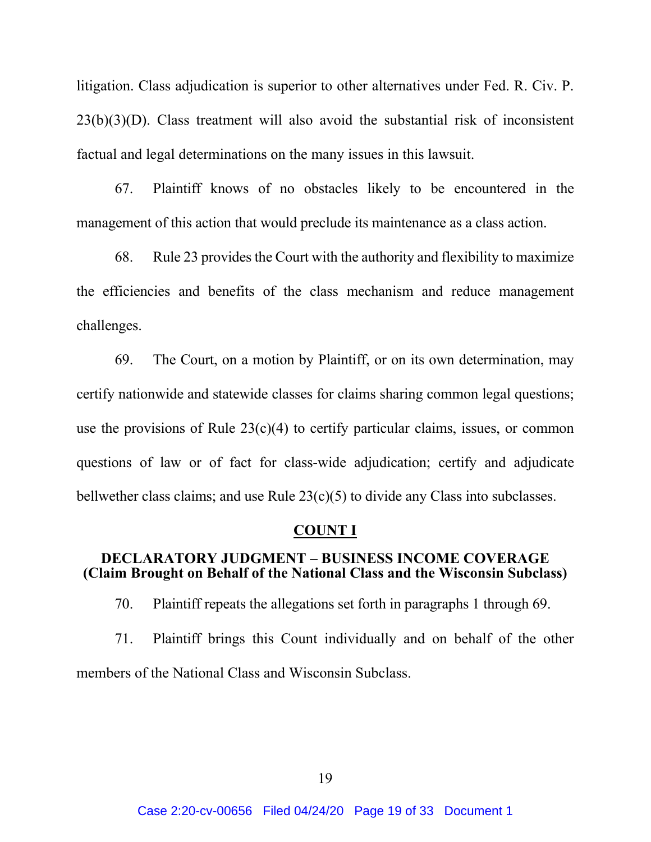litigation. Class adjudication is superior to other alternatives under Fed. R. Civ. P. 23(b)(3)(D). Class treatment will also avoid the substantial risk of inconsistent factual and legal determinations on the many issues in this lawsuit.

67. Plaintiff knows of no obstacles likely to be encountered in the management of this action that would preclude its maintenance as a class action.

68. Rule 23 provides the Court with the authority and flexibility to maximize the efficiencies and benefits of the class mechanism and reduce management challenges.

69. The Court, on a motion by Plaintiff, or on its own determination, may certify nationwide and statewide classes for claims sharing common legal questions; use the provisions of Rule  $23(c)(4)$  to certify particular claims, issues, or common questions of law or of fact for class-wide adjudication; certify and adjudicate bellwether class claims; and use Rule  $23(c)(5)$  to divide any Class into subclasses.

#### **COUNT I**

## **DECLARATORY JUDGMENT – BUSINESS INCOME COVERAGE (Claim Brought on Behalf of the National Class and the Wisconsin Subclass)**

70. Plaintiff repeats the allegations set forth in paragraphs 1 through 69.

71. Plaintiff brings this Count individually and on behalf of the other members of the National Class and Wisconsin Subclass.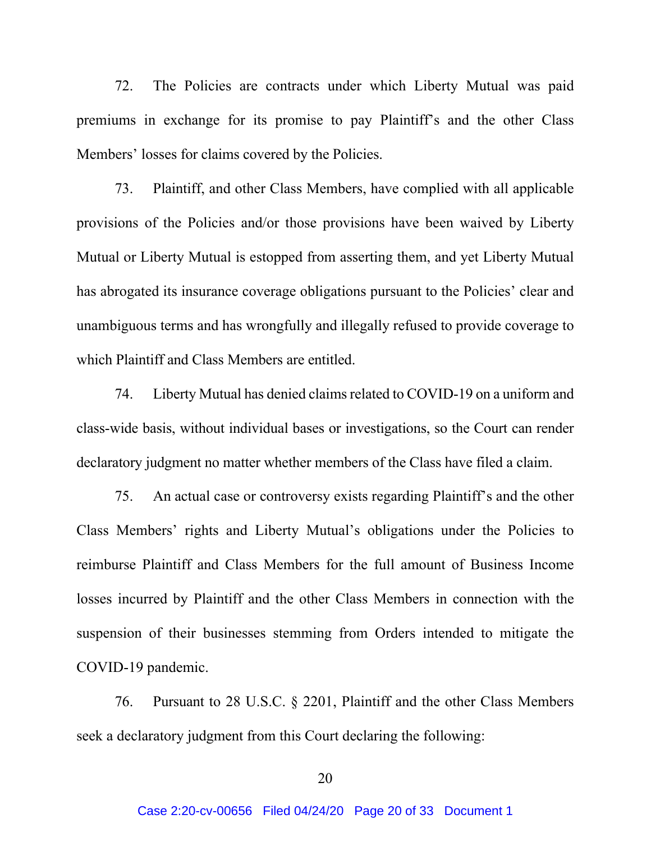72. The Policies are contracts under which Liberty Mutual was paid premiums in exchange for its promise to pay Plaintiff's and the other Class Members' losses for claims covered by the Policies.

73. Plaintiff, and other Class Members, have complied with all applicable provisions of the Policies and/or those provisions have been waived by Liberty Mutual or Liberty Mutual is estopped from asserting them, and yet Liberty Mutual has abrogated its insurance coverage obligations pursuant to the Policies' clear and unambiguous terms and has wrongfully and illegally refused to provide coverage to which Plaintiff and Class Members are entitled.

74. Liberty Mutual has denied claims related to COVID-19 on a uniform and class-wide basis, without individual bases or investigations, so the Court can render declaratory judgment no matter whether members of the Class have filed a claim.

75. An actual case or controversy exists regarding Plaintiff's and the other Class Members' rights and Liberty Mutual's obligations under the Policies to reimburse Plaintiff and Class Members for the full amount of Business Income losses incurred by Plaintiff and the other Class Members in connection with the suspension of their businesses stemming from Orders intended to mitigate the COVID-19 pandemic.

76. Pursuant to 28 U.S.C. § 2201, Plaintiff and the other Class Members seek a declaratory judgment from this Court declaring the following: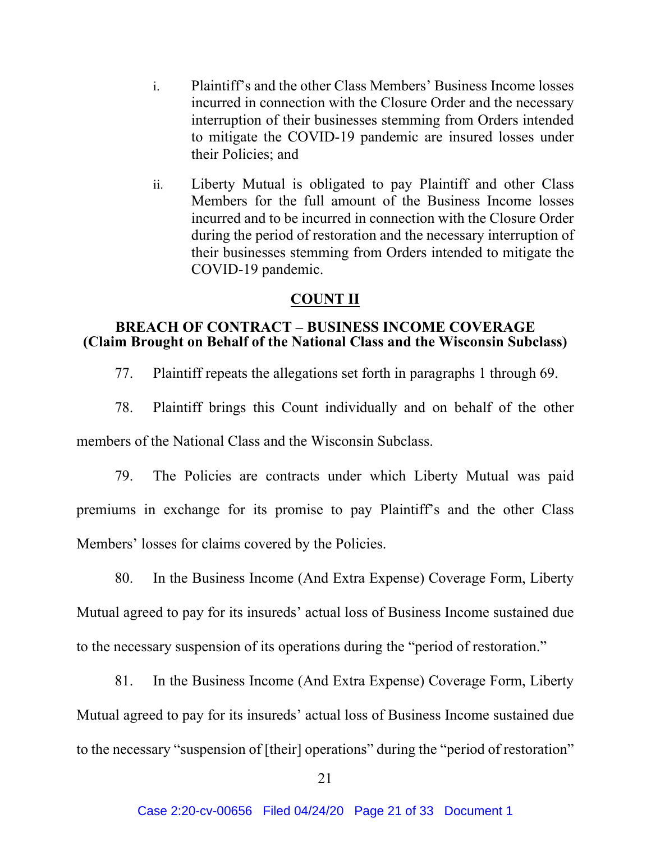- i. Plaintiff's and the other Class Members' Business Income losses incurred in connection with the Closure Order and the necessary interruption of their businesses stemming from Orders intended to mitigate the COVID-19 pandemic are insured losses under their Policies; and
- ii. Liberty Mutual is obligated to pay Plaintiff and other Class Members for the full amount of the Business Income losses incurred and to be incurred in connection with the Closure Order during the period of restoration and the necessary interruption of their businesses stemming from Orders intended to mitigate the COVID-19 pandemic.

## **COUNT II**

## **BREACH OF CONTRACT – BUSINESS INCOME COVERAGE (Claim Brought on Behalf of the National Class and the Wisconsin Subclass)**

77. Plaintiff repeats the allegations set forth in paragraphs 1 through 69.

78. Plaintiff brings this Count individually and on behalf of the other

members of the National Class and the Wisconsin Subclass.

79. The Policies are contracts under which Liberty Mutual was paid premiums in exchange for its promise to pay Plaintiff's and the other Class Members' losses for claims covered by the Policies.

80. In the Business Income (And Extra Expense) Coverage Form, Liberty Mutual agreed to pay for its insureds' actual loss of Business Income sustained due to the necessary suspension of its operations during the "period of restoration."

81. In the Business Income (And Extra Expense) Coverage Form, Liberty Mutual agreed to pay for its insureds' actual loss of Business Income sustained due to the necessary "suspension of [their] operations" during the "period of restoration"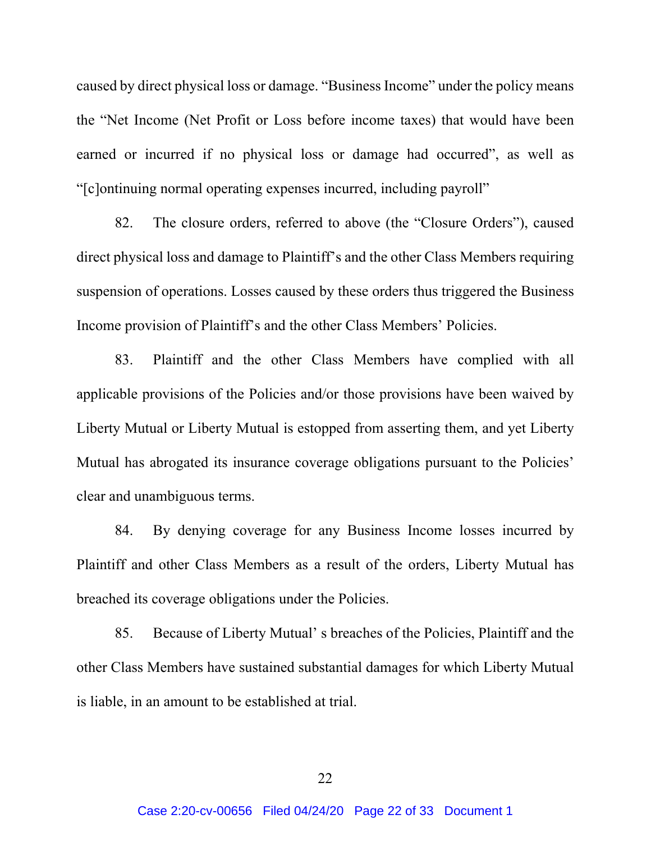caused by direct physical loss or damage. "Business Income" under the policy means the "Net Income (Net Profit or Loss before income taxes) that would have been earned or incurred if no physical loss or damage had occurred", as well as "[c]ontinuing normal operating expenses incurred, including payroll"

82. The closure orders, referred to above (the "Closure Orders"), caused direct physical loss and damage to Plaintiff's and the other Class Members requiring suspension of operations. Losses caused by these orders thus triggered the Business Income provision of Plaintiff's and the other Class Members' Policies.

83. Plaintiff and the other Class Members have complied with all applicable provisions of the Policies and/or those provisions have been waived by Liberty Mutual or Liberty Mutual is estopped from asserting them, and yet Liberty Mutual has abrogated its insurance coverage obligations pursuant to the Policies' clear and unambiguous terms.

84. By denying coverage for any Business Income losses incurred by Plaintiff and other Class Members as a result of the orders, Liberty Mutual has breached its coverage obligations under the Policies.

85. Because of Liberty Mutual' s breaches of the Policies, Plaintiff and the other Class Members have sustained substantial damages for which Liberty Mutual is liable, in an amount to be established at trial.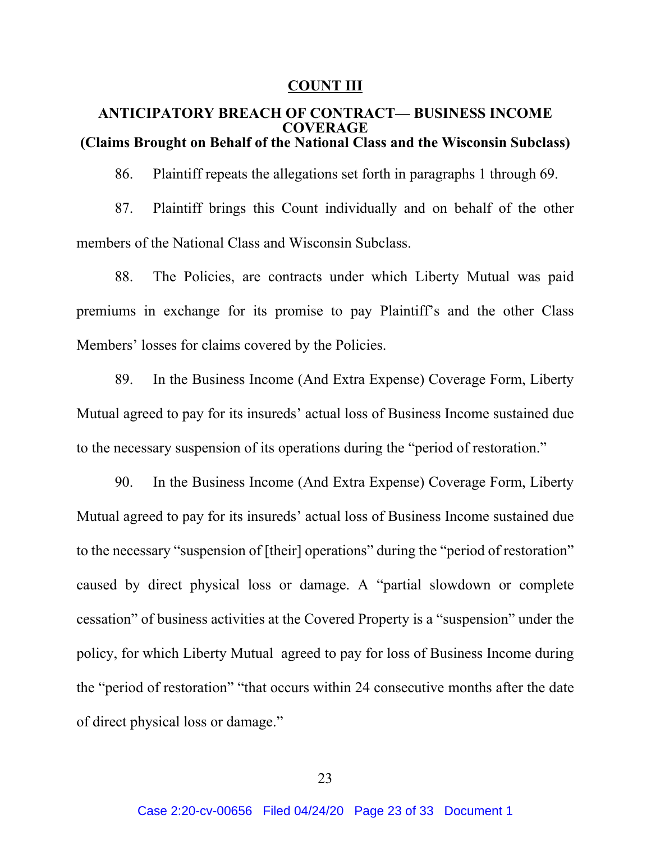## **COUNT III**

#### **ANTICIPATORY BREACH OF CONTRACT— BUSINESS INCOME COVERAGE (Claims Brought on Behalf of the National Class and the Wisconsin Subclass)**

86. Plaintiff repeats the allegations set forth in paragraphs 1 through 69.

87. Plaintiff brings this Count individually and on behalf of the other members of the National Class and Wisconsin Subclass.

88. The Policies, are contracts under which Liberty Mutual was paid premiums in exchange for its promise to pay Plaintiff's and the other Class Members' losses for claims covered by the Policies.

89. In the Business Income (And Extra Expense) Coverage Form, Liberty Mutual agreed to pay for its insureds' actual loss of Business Income sustained due to the necessary suspension of its operations during the "period of restoration."

90. In the Business Income (And Extra Expense) Coverage Form, Liberty Mutual agreed to pay for its insureds' actual loss of Business Income sustained due to the necessary "suspension of [their] operations" during the "period of restoration" caused by direct physical loss or damage. A "partial slowdown or complete cessation" of business activities at the Covered Property is a "suspension" under the policy, for which Liberty Mutual agreed to pay for loss of Business Income during the "period of restoration" "that occurs within 24 consecutive months after the date of direct physical loss or damage."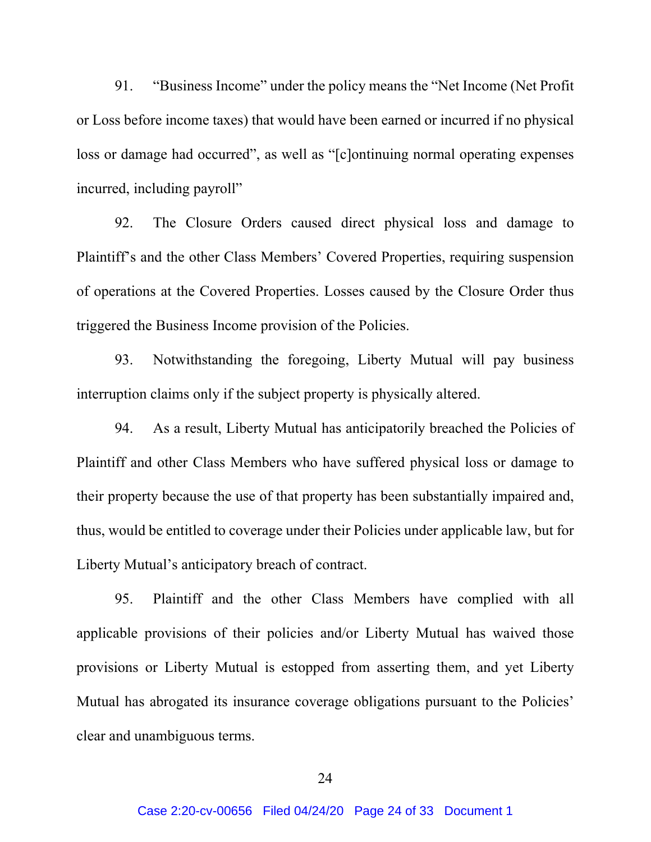91. "Business Income" under the policy means the "Net Income (Net Profit or Loss before income taxes) that would have been earned or incurred if no physical loss or damage had occurred", as well as "[c]ontinuing normal operating expenses incurred, including payroll"

92. The Closure Orders caused direct physical loss and damage to Plaintiff's and the other Class Members' Covered Properties, requiring suspension of operations at the Covered Properties. Losses caused by the Closure Order thus triggered the Business Income provision of the Policies.

93. Notwithstanding the foregoing, Liberty Mutual will pay business interruption claims only if the subject property is physically altered.

94. As a result, Liberty Mutual has anticipatorily breached the Policies of Plaintiff and other Class Members who have suffered physical loss or damage to their property because the use of that property has been substantially impaired and, thus, would be entitled to coverage under their Policies under applicable law, but for Liberty Mutual's anticipatory breach of contract.

95. Plaintiff and the other Class Members have complied with all applicable provisions of their policies and/or Liberty Mutual has waived those provisions or Liberty Mutual is estopped from asserting them, and yet Liberty Mutual has abrogated its insurance coverage obligations pursuant to the Policies' clear and unambiguous terms.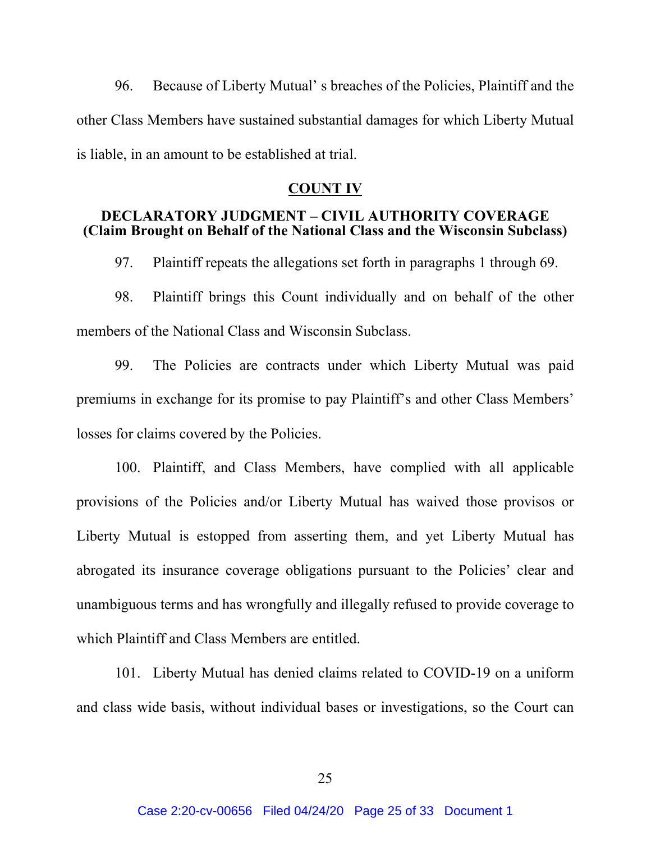96. Because of Liberty Mutual' s breaches of the Policies, Plaintiff and the other Class Members have sustained substantial damages for which Liberty Mutual is liable, in an amount to be established at trial.

#### **COUNT IV**

## **DECLARATORY JUDGMENT – CIVIL AUTHORITY COVERAGE (Claim Brought on Behalf of the National Class and the Wisconsin Subclass)**

97. Plaintiff repeats the allegations set forth in paragraphs 1 through 69.

98. Plaintiff brings this Count individually and on behalf of the other members of the National Class and Wisconsin Subclass.

99. The Policies are contracts under which Liberty Mutual was paid premiums in exchange for its promise to pay Plaintiff's and other Class Members' losses for claims covered by the Policies.

100. Plaintiff, and Class Members, have complied with all applicable provisions of the Policies and/or Liberty Mutual has waived those provisos or Liberty Mutual is estopped from asserting them, and yet Liberty Mutual has abrogated its insurance coverage obligations pursuant to the Policies' clear and unambiguous terms and has wrongfully and illegally refused to provide coverage to which Plaintiff and Class Members are entitled.

101. Liberty Mutual has denied claims related to COVID-19 on a uniform and class wide basis, without individual bases or investigations, so the Court can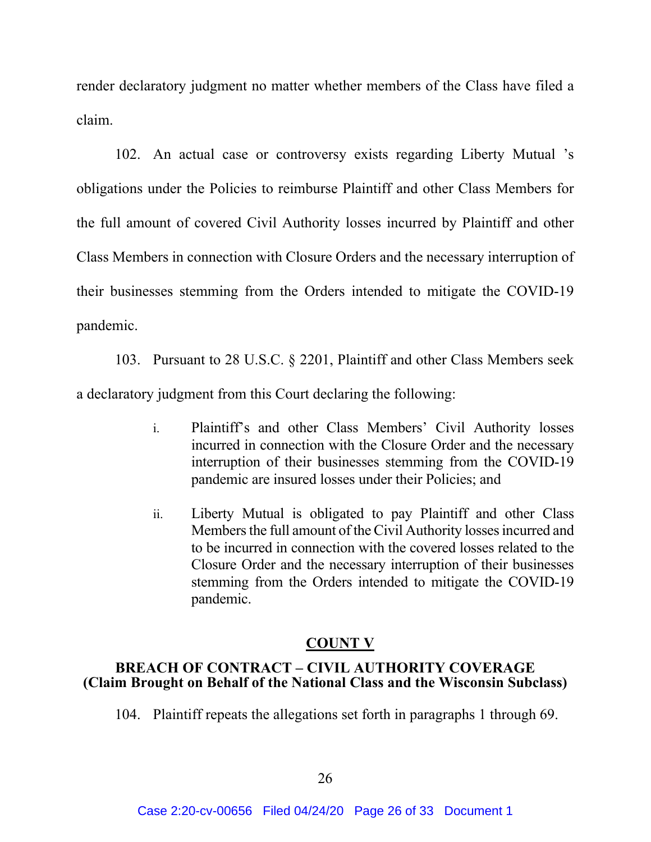render declaratory judgment no matter whether members of the Class have filed a claim.

102. An actual case or controversy exists regarding Liberty Mutual 's obligations under the Policies to reimburse Plaintiff and other Class Members for the full amount of covered Civil Authority losses incurred by Plaintiff and other Class Members in connection with Closure Orders and the necessary interruption of their businesses stemming from the Orders intended to mitigate the COVID-19 pandemic.

103. Pursuant to 28 U.S.C. § 2201, Plaintiff and other Class Members seek a declaratory judgment from this Court declaring the following:

- i. Plaintiff's and other Class Members' Civil Authority losses incurred in connection with the Closure Order and the necessary interruption of their businesses stemming from the COVID-19 pandemic are insured losses under their Policies; and
- ii. Liberty Mutual is obligated to pay Plaintiff and other Class Members the full amount of the Civil Authority losses incurred and to be incurred in connection with the covered losses related to the Closure Order and the necessary interruption of their businesses stemming from the Orders intended to mitigate the COVID-19 pandemic.

## **COUNT V**

## **BREACH OF CONTRACT – CIVIL AUTHORITY COVERAGE (Claim Brought on Behalf of the National Class and the Wisconsin Subclass)**

104. Plaintiff repeats the allegations set forth in paragraphs 1 through 69.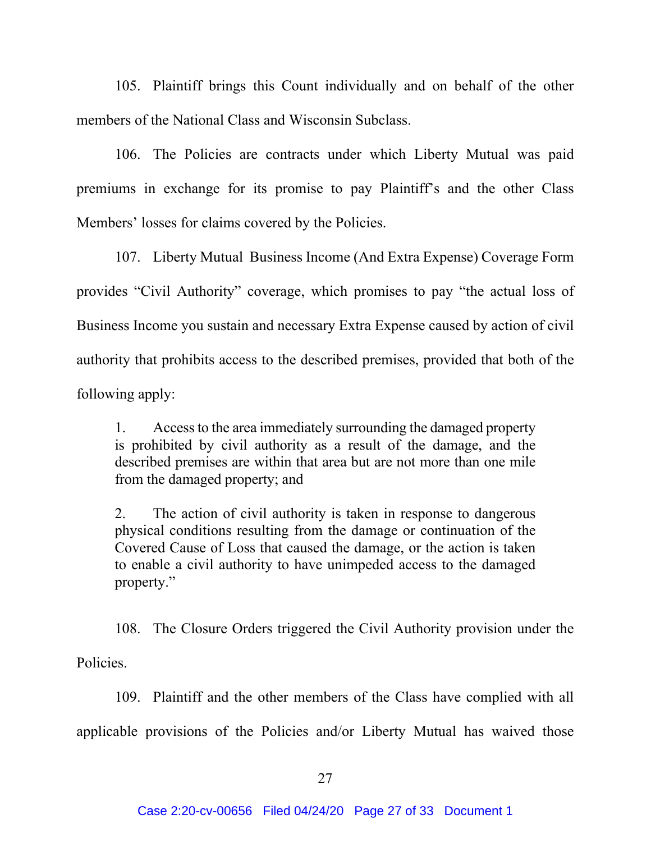105. Plaintiff brings this Count individually and on behalf of the other members of the National Class and Wisconsin Subclass.

106. The Policies are contracts under which Liberty Mutual was paid premiums in exchange for its promise to pay Plaintiff's and the other Class Members' losses for claims covered by the Policies.

107. Liberty Mutual Business Income (And Extra Expense) Coverage Form provides "Civil Authority" coverage, which promises to pay "the actual loss of Business Income you sustain and necessary Extra Expense caused by action of civil authority that prohibits access to the described premises, provided that both of the following apply:

1. Access to the area immediately surrounding the damaged property is prohibited by civil authority as a result of the damage, and the described premises are within that area but are not more than one mile from the damaged property; and

2. The action of civil authority is taken in response to dangerous physical conditions resulting from the damage or continuation of the Covered Cause of Loss that caused the damage, or the action is taken to enable a civil authority to have unimpeded access to the damaged property."

108. The Closure Orders triggered the Civil Authority provision under the Policies.

109. Plaintiff and the other members of the Class have complied with all applicable provisions of the Policies and/or Liberty Mutual has waived those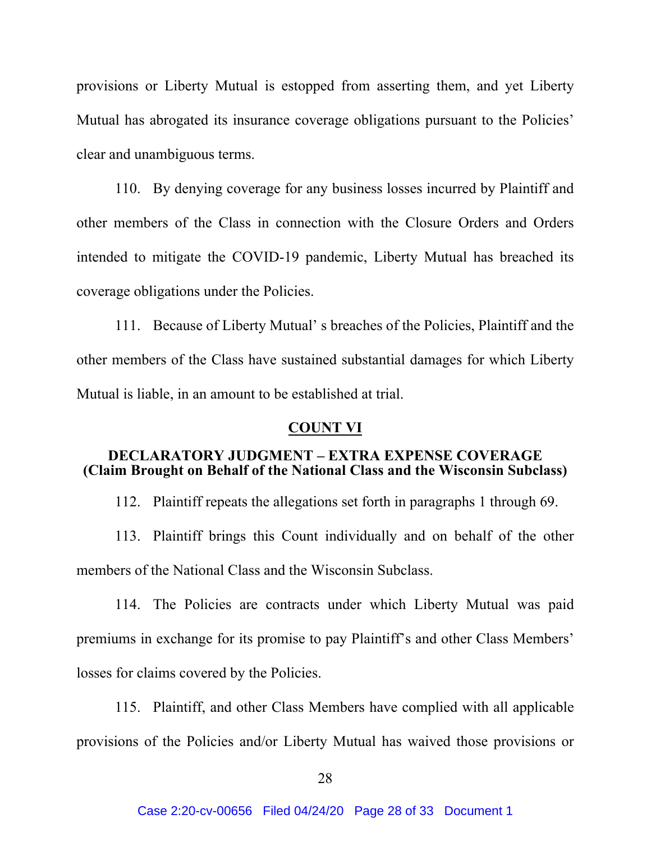provisions or Liberty Mutual is estopped from asserting them, and yet Liberty Mutual has abrogated its insurance coverage obligations pursuant to the Policies' clear and unambiguous terms.

110. By denying coverage for any business losses incurred by Plaintiff and other members of the Class in connection with the Closure Orders and Orders intended to mitigate the COVID-19 pandemic, Liberty Mutual has breached its coverage obligations under the Policies.

111. Because of Liberty Mutual' s breaches of the Policies, Plaintiff and the other members of the Class have sustained substantial damages for which Liberty Mutual is liable, in an amount to be established at trial.

#### **COUNT VI**

## **DECLARATORY JUDGMENT – EXTRA EXPENSE COVERAGE (Claim Brought on Behalf of the National Class and the Wisconsin Subclass)**

112. Plaintiff repeats the allegations set forth in paragraphs 1 through 69.

113. Plaintiff brings this Count individually and on behalf of the other members of the National Class and the Wisconsin Subclass.

114. The Policies are contracts under which Liberty Mutual was paid premiums in exchange for its promise to pay Plaintiff's and other Class Members' losses for claims covered by the Policies.

115. Plaintiff, and other Class Members have complied with all applicable provisions of the Policies and/or Liberty Mutual has waived those provisions or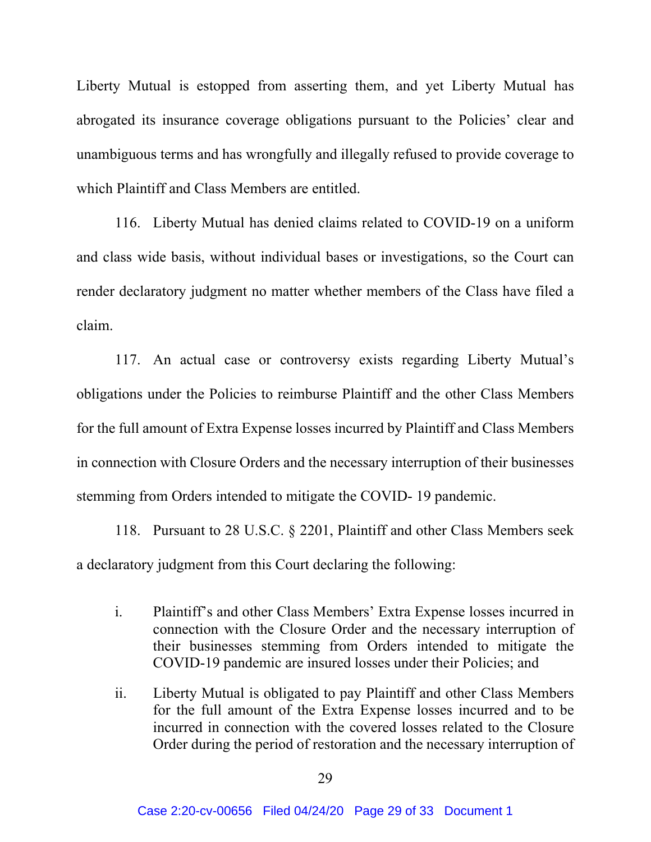Liberty Mutual is estopped from asserting them, and yet Liberty Mutual has abrogated its insurance coverage obligations pursuant to the Policies' clear and unambiguous terms and has wrongfully and illegally refused to provide coverage to which Plaintiff and Class Members are entitled.

116. Liberty Mutual has denied claims related to COVID-19 on a uniform and class wide basis, without individual bases or investigations, so the Court can render declaratory judgment no matter whether members of the Class have filed a claim.

117. An actual case or controversy exists regarding Liberty Mutual's obligations under the Policies to reimburse Plaintiff and the other Class Members for the full amount of Extra Expense losses incurred by Plaintiff and Class Members in connection with Closure Orders and the necessary interruption of their businesses stemming from Orders intended to mitigate the COVID- 19 pandemic.

118. Pursuant to 28 U.S.C. § 2201, Plaintiff and other Class Members seek a declaratory judgment from this Court declaring the following:

- i. Plaintiff's and other Class Members' Extra Expense losses incurred in connection with the Closure Order and the necessary interruption of their businesses stemming from Orders intended to mitigate the COVID-19 pandemic are insured losses under their Policies; and
- ii. Liberty Mutual is obligated to pay Plaintiff and other Class Members for the full amount of the Extra Expense losses incurred and to be incurred in connection with the covered losses related to the Closure Order during the period of restoration and the necessary interruption of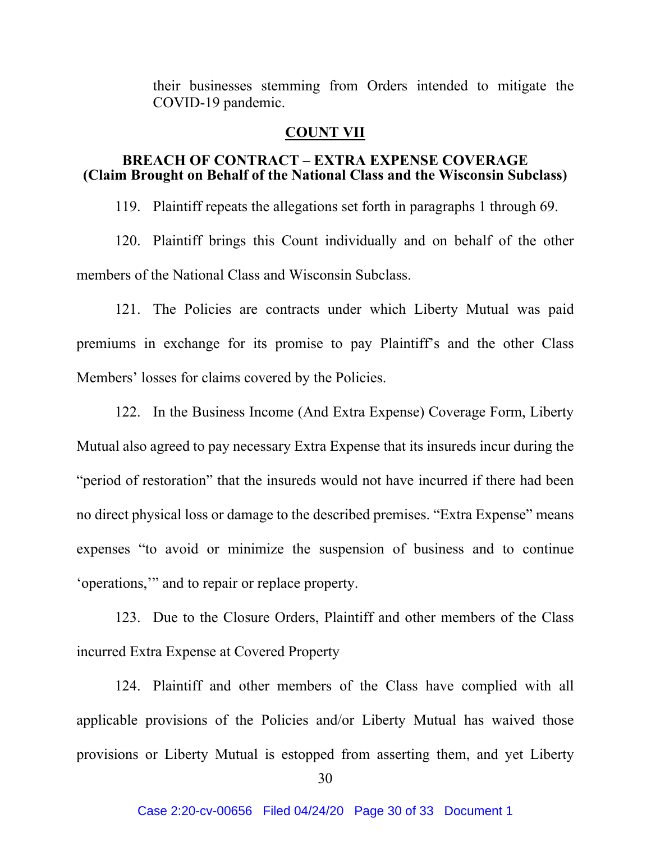their businesses stemming from Orders intended to mitigate the COVID-19 pandemic.

#### **COUNT VII**

## **BREACH OF CONTRACT – EXTRA EXPENSE COVERAGE (Claim Brought on Behalf of the National Class and the Wisconsin Subclass)**

119. Plaintiff repeats the allegations set forth in paragraphs 1 through 69.

120. Plaintiff brings this Count individually and on behalf of the other members of the National Class and Wisconsin Subclass.

121. The Policies are contracts under which Liberty Mutual was paid premiums in exchange for its promise to pay Plaintiff's and the other Class Members' losses for claims covered by the Policies.

122. In the Business Income (And Extra Expense) Coverage Form, Liberty Mutual also agreed to pay necessary Extra Expense that its insureds incur during the "period of restoration" that the insureds would not have incurred if there had been no direct physical loss or damage to the described premises. "Extra Expense" means expenses "to avoid or minimize the suspension of business and to continue 'operations,'" and to repair or replace property.

123. Due to the Closure Orders, Plaintiff and other members of the Class incurred Extra Expense at Covered Property

124. Plaintiff and other members of the Class have complied with all applicable provisions of the Policies and/or Liberty Mutual has waived those provisions or Liberty Mutual is estopped from asserting them, and yet Liberty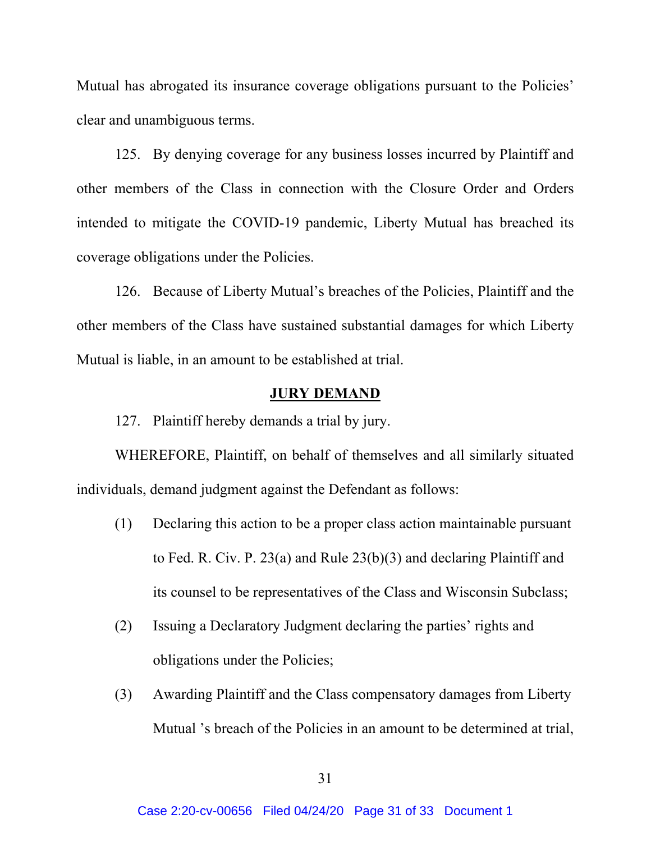Mutual has abrogated its insurance coverage obligations pursuant to the Policies' clear and unambiguous terms.

125. By denying coverage for any business losses incurred by Plaintiff and other members of the Class in connection with the Closure Order and Orders intended to mitigate the COVID-19 pandemic, Liberty Mutual has breached its coverage obligations under the Policies.

126. Because of Liberty Mutual's breaches of the Policies, Plaintiff and the other members of the Class have sustained substantial damages for which Liberty Mutual is liable, in an amount to be established at trial.

#### **JURY DEMAND**

127. Plaintiff hereby demands a trial by jury.

WHEREFORE, Plaintiff, on behalf of themselves and all similarly situated individuals, demand judgment against the Defendant as follows:

- (1) Declaring this action to be a proper class action maintainable pursuant to Fed. R. Civ. P. 23(a) and Rule 23(b)(3) and declaring Plaintiff and its counsel to be representatives of the Class and Wisconsin Subclass;
- (2) Issuing a Declaratory Judgment declaring the parties' rights and obligations under the Policies;
- (3) Awarding Plaintiff and the Class compensatory damages from Liberty Mutual 's breach of the Policies in an amount to be determined at trial,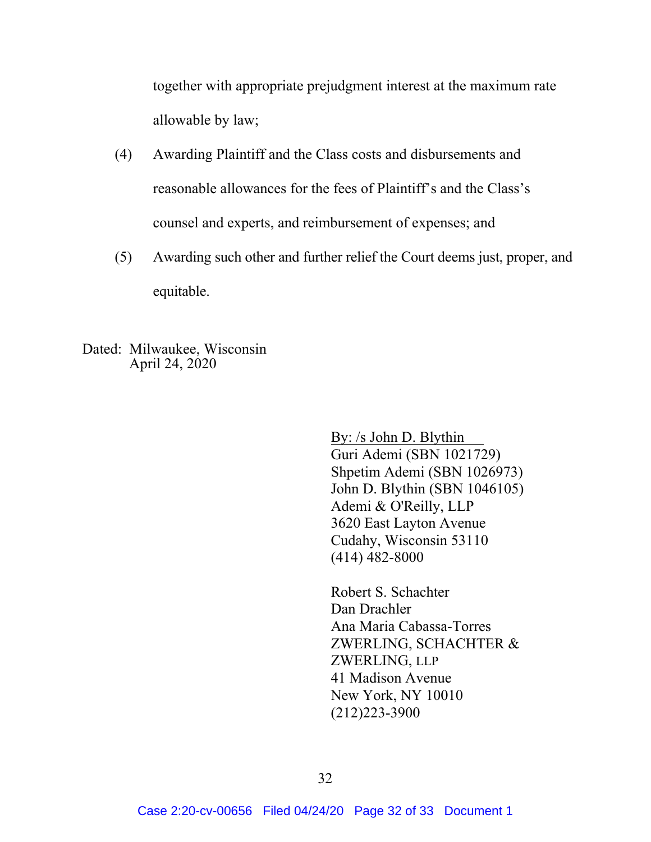together with appropriate prejudgment interest at the maximum rate allowable by law;

- (4) Awarding Plaintiff and the Class costs and disbursements and reasonable allowances for the fees of Plaintiff's and the Class's counsel and experts, and reimbursement of expenses; and
- (5) Awarding such other and further relief the Court deems just, proper, and equitable.
- Dated: Milwaukee, Wisconsin April 24, 2020

By: /s John D. Blythin Guri Ademi (SBN 1021729) Shpetim Ademi (SBN 1026973) John D. Blythin (SBN 1046105) Ademi & O'Reilly, LLP 3620 East Layton Avenue Cudahy, Wisconsin 53110 (414) 482-8000

Robert S. Schachter Dan Drachler Ana Maria Cabassa-Torres ZWERLING, SCHACHTER & ZWERLING, LLP 41 Madison Avenue New York, NY 10010 (212)223-3900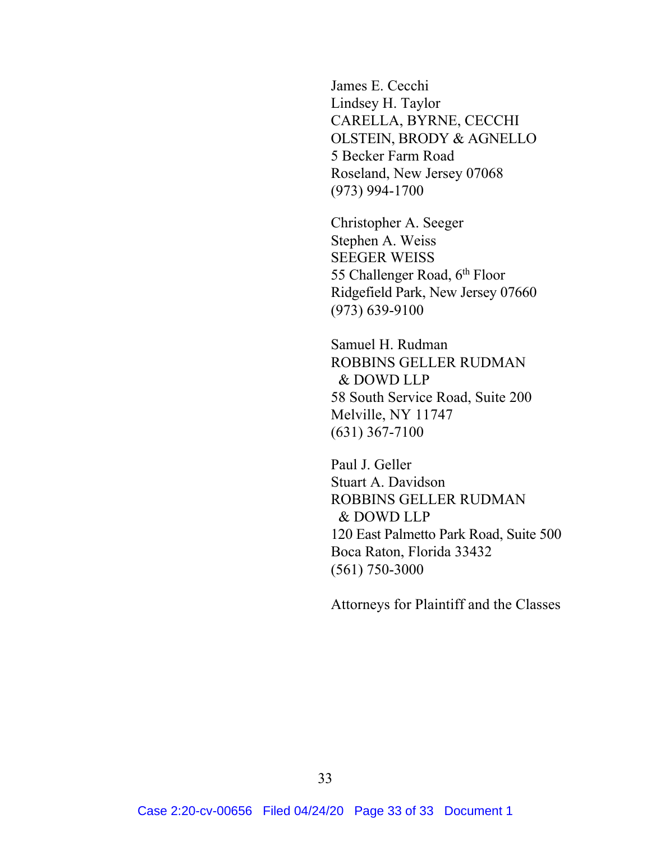James E. Cecchi Lindsey H. Taylor CARELLA, BYRNE, CECCHI OLSTEIN, BRODY & AGNELLO 5 Becker Farm Road Roseland, New Jersey 07068 (973) 994-1700

Christopher A. Seeger Stephen A. Weiss SEEGER WEISS 55 Challenger Road, 6<sup>th</sup> Floor Ridgefield Park, New Jersey 07660 (973) 639-9100

Samuel H. Rudman ROBBINS GELLER RUDMAN & DOWD LLP 58 South Service Road, Suite 200 Melville, NY 11747 (631) 367-7100

Paul J. Geller Stuart A. Davidson ROBBINS GELLER RUDMAN & DOWD LLP 120 East Palmetto Park Road, Suite 500 Boca Raton, Florida 33432 (561) 750-3000

Attorneys for Plaintiff and the Classes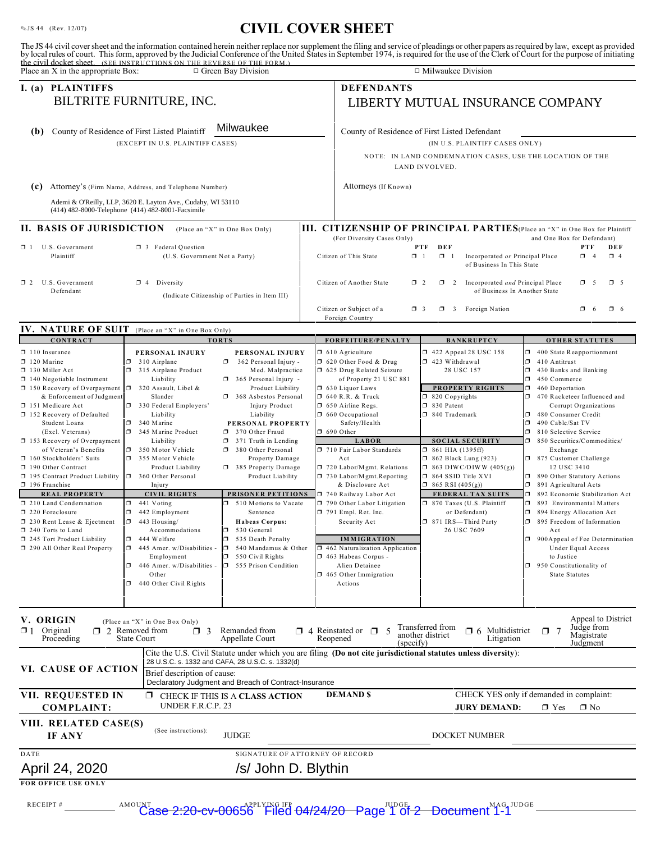## **CIVIL COVER SHEET**

|                                                                                                       |                                                                                                                                                                                                                                                                                                                                                                                                                                                                                                                                                                                                            | The JS 44 civil cover sheet and the information contained herein neither replace nor supplement the filing and service of pleadings or other papers as required by law, except as provided<br>by local rules of court. This form, approved by the Judicial Conference of the United States in September 1974, is required for the use of the Clerk of Court for the purpose of initiating                                                                                                                                                                                                                                                                                                                                                                                                                                                                                                                                                                                                                                                                                                     |                |                                                                                                                                                                                                                                                                                                                                                                                                                                                                                                                                                                                               |                                                                                                                                                                                                                                                                                                                                                                                            |                                                                                                                                                                                                                                                                                                                                                                                                                                                                                                                                                                                                                                                       |  |
|-------------------------------------------------------------------------------------------------------|------------------------------------------------------------------------------------------------------------------------------------------------------------------------------------------------------------------------------------------------------------------------------------------------------------------------------------------------------------------------------------------------------------------------------------------------------------------------------------------------------------------------------------------------------------------------------------------------------------|-----------------------------------------------------------------------------------------------------------------------------------------------------------------------------------------------------------------------------------------------------------------------------------------------------------------------------------------------------------------------------------------------------------------------------------------------------------------------------------------------------------------------------------------------------------------------------------------------------------------------------------------------------------------------------------------------------------------------------------------------------------------------------------------------------------------------------------------------------------------------------------------------------------------------------------------------------------------------------------------------------------------------------------------------------------------------------------------------|----------------|-----------------------------------------------------------------------------------------------------------------------------------------------------------------------------------------------------------------------------------------------------------------------------------------------------------------------------------------------------------------------------------------------------------------------------------------------------------------------------------------------------------------------------------------------------------------------------------------------|--------------------------------------------------------------------------------------------------------------------------------------------------------------------------------------------------------------------------------------------------------------------------------------------------------------------------------------------------------------------------------------------|-------------------------------------------------------------------------------------------------------------------------------------------------------------------------------------------------------------------------------------------------------------------------------------------------------------------------------------------------------------------------------------------------------------------------------------------------------------------------------------------------------------------------------------------------------------------------------------------------------------------------------------------------------|--|
|                                                                                                       | Place an X in the appropriate Box:                                                                                                                                                                                                                                                                                                                                                                                                                                                                                                                                                                         | the civil docket sheet. (SEE INSTRUCTIONS ON THE REVERSE OF THE FORM.)<br>$\Box$ Green Bay Division                                                                                                                                                                                                                                                                                                                                                                                                                                                                                                                                                                                                                                                                                                                                                                                                                                                                                                                                                                                           |                |                                                                                                                                                                                                                                                                                                                                                                                                                                                                                                                                                                                               | □ Milwaukee Division                                                                                                                                                                                                                                                                                                                                                                       |                                                                                                                                                                                                                                                                                                                                                                                                                                                                                                                                                                                                                                                       |  |
| I. (a) PLAINTIFFS<br>BILTRITE FURNITURE, INC.                                                         |                                                                                                                                                                                                                                                                                                                                                                                                                                                                                                                                                                                                            |                                                                                                                                                                                                                                                                                                                                                                                                                                                                                                                                                                                                                                                                                                                                                                                                                                                                                                                                                                                                                                                                                               |                | <b>DEFENDANTS</b><br>LIBERTY MUTUAL INSURANCE COMPANY                                                                                                                                                                                                                                                                                                                                                                                                                                                                                                                                         |                                                                                                                                                                                                                                                                                                                                                                                            |                                                                                                                                                                                                                                                                                                                                                                                                                                                                                                                                                                                                                                                       |  |
| Milwaukee<br>County of Residence of First Listed Plaintiff<br>(b)<br>(EXCEPT IN U.S. PLAINTIFF CASES) |                                                                                                                                                                                                                                                                                                                                                                                                                                                                                                                                                                                                            |                                                                                                                                                                                                                                                                                                                                                                                                                                                                                                                                                                                                                                                                                                                                                                                                                                                                                                                                                                                                                                                                                               |                | County of Residence of First Listed Defendant<br>(IN U.S. PLAINTIFF CASES ONLY)<br>NOTE: IN LAND CONDEMNATION CASES, USE THE LOCATION OF THE<br>LAND INVOLVED.                                                                                                                                                                                                                                                                                                                                                                                                                                |                                                                                                                                                                                                                                                                                                                                                                                            |                                                                                                                                                                                                                                                                                                                                                                                                                                                                                                                                                                                                                                                       |  |
|                                                                                                       | (c)                                                                                                                                                                                                                                                                                                                                                                                                                                                                                                                                                                                                        | Attorney's (Firm Name, Address, and Telephone Number)<br>Ademi & O'Reilly, LLP, 3620 E. Layton Ave., Cudahy, WI 53110<br>(414) 482-8000-Telephone (414) 482-8001-Facsimile                                                                                                                                                                                                                                                                                                                                                                                                                                                                                                                                                                                                                                                                                                                                                                                                                                                                                                                    |                | Attorneys (If Known)                                                                                                                                                                                                                                                                                                                                                                                                                                                                                                                                                                          |                                                                                                                                                                                                                                                                                                                                                                                            |                                                                                                                                                                                                                                                                                                                                                                                                                                                                                                                                                                                                                                                       |  |
|                                                                                                       | II. BASIS OF JURISDICTION                                                                                                                                                                                                                                                                                                                                                                                                                                                                                                                                                                                  | (Place an "X" in One Box Only)                                                                                                                                                                                                                                                                                                                                                                                                                                                                                                                                                                                                                                                                                                                                                                                                                                                                                                                                                                                                                                                                |                |                                                                                                                                                                                                                                                                                                                                                                                                                                                                                                                                                                                               |                                                                                                                                                                                                                                                                                                                                                                                            | <b>III. CITIZENSHIP OF PRINCIPAL PARTIES</b> (Place an "X" in One Box for Plaintiff                                                                                                                                                                                                                                                                                                                                                                                                                                                                                                                                                                   |  |
| ⊓ ⊑                                                                                                   | U.S. Government<br>Plaintiff                                                                                                                                                                                                                                                                                                                                                                                                                                                                                                                                                                               | <b>1</b> 3 Federal Question<br>(U.S. Government Not a Party)                                                                                                                                                                                                                                                                                                                                                                                                                                                                                                                                                                                                                                                                                                                                                                                                                                                                                                                                                                                                                                  |                | (For Diversity Cases Only)<br>Citizen of This State<br>☑                                                                                                                                                                                                                                                                                                                                                                                                                                                                                                                                      | DEF<br>PTF<br>$\Box$ 1<br>Incorporated or Principal Place<br>-1<br>of Business In This State                                                                                                                                                                                                                                                                                               | and One Box for Defendant)<br>PTF<br>DEF<br>$\Box$ 4<br>п.<br>$\overline{4}$                                                                                                                                                                                                                                                                                                                                                                                                                                                                                                                                                                          |  |
| $\Box$ 2                                                                                              | U.S. Government<br>Defendant                                                                                                                                                                                                                                                                                                                                                                                                                                                                                                                                                                               | Diversity<br>$\sqrt{4}$<br>(Indicate Citizenship of Parties in Item III)                                                                                                                                                                                                                                                                                                                                                                                                                                                                                                                                                                                                                                                                                                                                                                                                                                                                                                                                                                                                                      |                | Citizen of Another State<br>0                                                                                                                                                                                                                                                                                                                                                                                                                                                                                                                                                                 | Incorporated and Principal Place<br>$\overline{2}$<br>2<br>П<br>of Business In Another State                                                                                                                                                                                                                                                                                               | $\sqrt{5}$<br>0.<br>-5                                                                                                                                                                                                                                                                                                                                                                                                                                                                                                                                                                                                                                |  |
|                                                                                                       |                                                                                                                                                                                                                                                                                                                                                                                                                                                                                                                                                                                                            |                                                                                                                                                                                                                                                                                                                                                                                                                                                                                                                                                                                                                                                                                                                                                                                                                                                                                                                                                                                                                                                                                               |                | Citizen or Subject of a<br>Foreign Country                                                                                                                                                                                                                                                                                                                                                                                                                                                                                                                                                    | $\Box$ 3<br>□<br>3<br>Foreign Nation                                                                                                                                                                                                                                                                                                                                                       | $\Box$ 6<br>$\Box$ 6                                                                                                                                                                                                                                                                                                                                                                                                                                                                                                                                                                                                                                  |  |
|                                                                                                       | <b>CONTRACT</b>                                                                                                                                                                                                                                                                                                                                                                                                                                                                                                                                                                                            | IV. NATURE OF SUIT (Place an "X" in One Box Only)<br><b>TORTS</b>                                                                                                                                                                                                                                                                                                                                                                                                                                                                                                                                                                                                                                                                                                                                                                                                                                                                                                                                                                                                                             |                | FORFEITURE/PENALTY                                                                                                                                                                                                                                                                                                                                                                                                                                                                                                                                                                            | <b>BANKRUPTCY</b>                                                                                                                                                                                                                                                                                                                                                                          | <b>OTHER STATUTES</b>                                                                                                                                                                                                                                                                                                                                                                                                                                                                                                                                                                                                                                 |  |
|                                                                                                       | $\sqrt{110}$ Insurance<br>120 Marine<br>$\Box$ 130 Miller Act<br>140 Negotiable Instrument<br>$\Box$ 150 Recovery of Overpayment $\Box$<br>& Enforcement of Judgment<br>151 Medicare Act<br>152 Recovery of Defaulted<br>Student Loans<br>(Excl. Veterans)<br>153 Recovery of Overpayment<br>of Veteran's Benefits<br>160 Stockholders' Suits<br>190 Other Contract<br>195 Contract Product Liability<br>196 Franchise<br><b>REAL PROPERTY</b><br>210 Land Condemnation<br>220 Foreclosure<br>230 Rent Lease & Ejectment<br>240 Torts to Land<br>245 Tort Product Liability<br>290 All Other Real Property | PERSONAL INJURY<br>PERSONAL INJURY<br>310 Airplane<br>362 Personal Injury -<br>н<br>315 Airplane Product<br>Med. Malpractice<br>Liability<br>365 Personal Injury -<br>320 Assault, Libel &<br>Product Liability<br>Slander<br>□ 368 Asbestos Personal<br>330 Federal Employers'<br><b>Injury Product</b><br>Liability<br>Liability<br>340 Marine<br>PERSONAL PROPERTY<br>345 Marine Product<br>370 Other Fraud<br>Ш<br>371 Truth in Lending<br>Liability<br>□<br>380 Other Personal<br>350 Motor Vehicle<br>п<br>п<br>355 Motor Vehicle<br>Property Damage<br>Product Liability<br>385 Property Damage<br>360 Other Personal<br>Product Liability<br>ш<br>Injury<br><b>CIVIL RIGHTS</b><br>PRISONER PETITIONS<br>441 Voting<br>510 Motions to Vacate<br>IП<br>442 Employment<br>Sentence<br>IП<br>443 Housing/<br><b>Habeas Corpus:</b><br>530 General<br>Accommodations<br>444 Welfare<br>535 Death Penalty<br>445 Amer. w/Disabilities -<br>540 Mandamus & Other<br>550 Civil Rights<br>Employment<br>446 Amer. w/Disabilities -<br>555 Prison Condition<br>Other<br>440 Other Civil Rights |                | 610 Agriculture<br>620 Other Food & Drug<br>625 Drug Related Seizure<br>of Property 21 USC 881<br>630 Liquor Laws<br>640 R.R. & Truck<br>650 Airline Regs.<br>660 Occupational<br>Safety/Health<br>$\Box$ 690 Other<br><b>LABOR</b><br>710 Fair Labor Standards<br>Act<br>720 Labor/Mgmt. Relations<br>730 Labor/Mgmt.Reporting<br>& Disclosure Act<br>740 Railway Labor Act<br>790 Other Labor Litigation<br>$\Box$ 791 Empl. Ret. Inc.<br>Security Act<br><b>IMMIGRATION</b><br>462 Naturalization Application<br>463 Habeas Corpus -<br>Alien Detainee<br>465 Other Immigration<br>Actions | 422 Appeal 28 USC 158<br>423 Withdrawal<br>28 USC 157<br>PROPERTY RIGHTS<br>820 Copyrights<br>830 Patent<br>840 Trademark<br><b>SOCIAL SECURITY</b><br>861 HIA (1395ff)<br>862 Black Lung (923)<br>863 DIWC/DIWW (405(g))<br>864 SSID Title XVI<br>$\Box$ 865 RSI (405(g))<br><b>FEDERAL TAX SUITS</b><br>870 Taxes (U.S. Plaintiff<br>or Defendant)<br>871 IRS-Third Party<br>26 USC 7609 | 400 State Reapportionment<br>410 Antitrust<br>430 Banks and Banking<br>450 Commerce<br>460 Deportation<br>470 Racketeer Influenced and<br>Corrupt Organizations<br>480 Consumer Credit<br>490 Cable/Sat TV<br>П<br>810 Selective Service<br>850 Securities/Commodities/<br>Exchange<br>875 Customer Challenge<br>12 USC 3410<br>890 Other Statutory Actions<br>891 Agricultural Acts<br>892 Economic Stabilization Act<br>893 Environmental Matters<br>894 Energy Allocation Act<br>п<br>895 Freedom of Information<br>Act<br>900Appeal of Fee Determination<br>Under Equal Access<br>to Justice<br>950 Constitutionality of<br><b>State Statutes</b> |  |
| 01                                                                                                    | V. ORIGIN<br>Original<br>П.<br>Proceeding                                                                                                                                                                                                                                                                                                                                                                                                                                                                                                                                                                  | (Place an "X" in One Box Only)<br>2 Removed from<br>Remanded from<br>п.<br>3<br><b>State Court</b><br>Appellate Court                                                                                                                                                                                                                                                                                                                                                                                                                                                                                                                                                                                                                                                                                                                                                                                                                                                                                                                                                                         | П              | 4 Reinstated or $\Box$<br>-5<br>Reopened<br>(specify)                                                                                                                                                                                                                                                                                                                                                                                                                                                                                                                                         | Transferred from<br>$\Box$ 6 Multidistrict<br>another district<br>Litigation                                                                                                                                                                                                                                                                                                               | Appeal to District<br>Judge from<br>$\Box$<br>Magistrate<br>Judgment                                                                                                                                                                                                                                                                                                                                                                                                                                                                                                                                                                                  |  |
|                                                                                                       | <b>VI. CAUSE OF ACTION</b>                                                                                                                                                                                                                                                                                                                                                                                                                                                                                                                                                                                 | Cite the U.S. Civil Statute under which you are filing (Do not cite jurisdictional statutes unless diversity):<br>28 U.S.C. s. 1332 and CAFA, 28 U.S.C. s. 1332(d)<br>Brief description of cause:<br>Declaratory Judgment and Breach of Contract-Insurance                                                                                                                                                                                                                                                                                                                                                                                                                                                                                                                                                                                                                                                                                                                                                                                                                                    |                |                                                                                                                                                                                                                                                                                                                                                                                                                                                                                                                                                                                               |                                                                                                                                                                                                                                                                                                                                                                                            |                                                                                                                                                                                                                                                                                                                                                                                                                                                                                                                                                                                                                                                       |  |
|                                                                                                       | <b>VII. REQUESTED IN</b><br><b>COMPLAINT:</b>                                                                                                                                                                                                                                                                                                                                                                                                                                                                                                                                                              | ☑<br>CHECK IF THIS IS A CLASS ACTION<br>UNDER F.R.C.P. 23                                                                                                                                                                                                                                                                                                                                                                                                                                                                                                                                                                                                                                                                                                                                                                                                                                                                                                                                                                                                                                     |                | <b>DEMAND \$</b>                                                                                                                                                                                                                                                                                                                                                                                                                                                                                                                                                                              | CHECK YES only if demanded in complaint:<br><b>JURY DEMAND:</b><br>$\triangleright$ Yes<br>$\Box$ No                                                                                                                                                                                                                                                                                       |                                                                                                                                                                                                                                                                                                                                                                                                                                                                                                                                                                                                                                                       |  |
|                                                                                                       | VIII. RELATED CASE(S)<br>IF ANY                                                                                                                                                                                                                                                                                                                                                                                                                                                                                                                                                                            | (See instructions):<br><b>JUDGE</b>                                                                                                                                                                                                                                                                                                                                                                                                                                                                                                                                                                                                                                                                                                                                                                                                                                                                                                                                                                                                                                                           |                |                                                                                                                                                                                                                                                                                                                                                                                                                                                                                                                                                                                               | DOCKET NUMBER                                                                                                                                                                                                                                                                                                                                                                              |                                                                                                                                                                                                                                                                                                                                                                                                                                                                                                                                                                                                                                                       |  |
| DATE                                                                                                  | April 24, 2020<br><b>FOR OFFICE USE ONLY</b>                                                                                                                                                                                                                                                                                                                                                                                                                                                                                                                                                               | SIGNATURE OF ATTORNEY OF RECORD<br>/s/ John D. Blythin                                                                                                                                                                                                                                                                                                                                                                                                                                                                                                                                                                                                                                                                                                                                                                                                                                                                                                                                                                                                                                        |                |                                                                                                                                                                                                                                                                                                                                                                                                                                                                                                                                                                                               |                                                                                                                                                                                                                                                                                                                                                                                            |                                                                                                                                                                                                                                                                                                                                                                                                                                                                                                                                                                                                                                                       |  |
|                                                                                                       | RECEIPT#                                                                                                                                                                                                                                                                                                                                                                                                                                                                                                                                                                                                   | AMOUNT<br>Ja <del>se z:zu-cv-uu</del> o5b                                                                                                                                                                                                                                                                                                                                                                                                                                                                                                                                                                                                                                                                                                                                                                                                                                                                                                                                                                                                                                                     | Filed 04/24/20 | $\overline{\mathsf{P} \text{age}}^{\text{rups}}$ 1 of $\overline{\mathsf{2}}$                                                                                                                                                                                                                                                                                                                                                                                                                                                                                                                 | MAG, JUDGE<br><del>-Docum</del> ent 1-1                                                                                                                                                                                                                                                                                                                                                    |                                                                                                                                                                                                                                                                                                                                                                                                                                                                                                                                                                                                                                                       |  |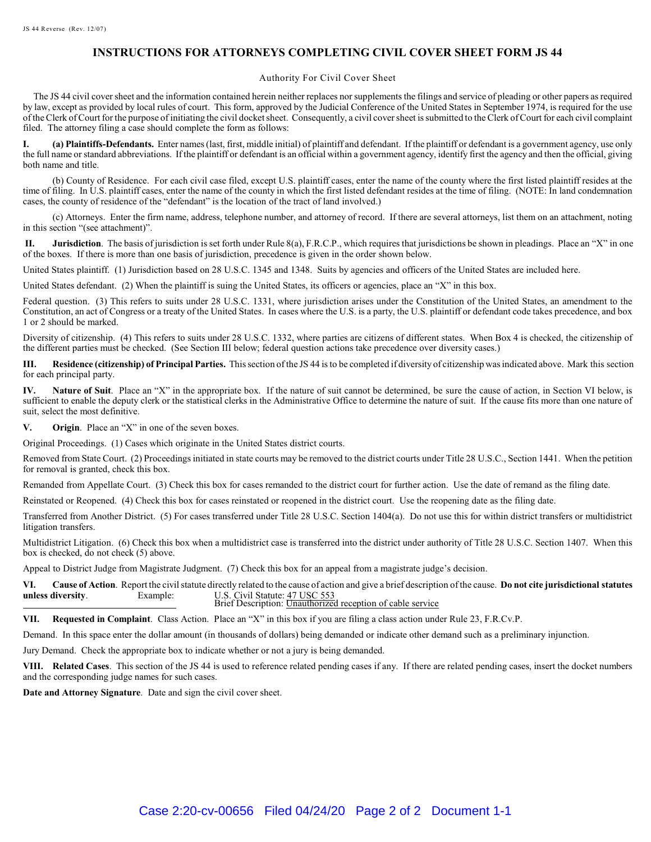#### **INSTRUCTIONS FOR ATTORNEYS COMPLETING CIVIL COVER SHEET FORM JS 44**

#### Authority For Civil Cover Sheet

The JS 44 civil cover sheet and the information contained herein neither replaces nor supplements the filings and service of pleading or other papers as required by law, except as provided by local rules of court. This form, approved by the Judicial Conference of the United States in September 1974, is required for the use of the Clerk of Court for the purpose of initiating the civil docket sheet. Consequently, a civil cover sheet is submitted to the Clerk of Court for each civil complaint filed. The attorney filing a case should complete the form as follows:

**I. (a) Plaintiffs-Defendants.** Enter names (last, first, middle initial) of plaintiff and defendant. If the plaintiff or defendant is a government agency, use only the full name or standard abbreviations. If the plaintiff or defendant is an official within a government agency, identify first the agency and then the official, giving both name and title.

(b) County of Residence. For each civil case filed, except U.S. plaintiff cases, enter the name of the county where the first listed plaintiff resides at the time of filing. In U.S. plaintiff cases, enter the name of the county in which the first listed defendant resides at the time of filing. (NOTE: In land condemnation cases, the county of residence of the "defendant" is the location of the tract of land involved.)

(c) Attorneys. Enter the firm name, address, telephone number, and attorney of record. If there are several attorneys, list them on an attachment, noting in this section "(see attachment)".

 **II. Jurisdiction**. The basis of jurisdiction is set forth under Rule 8(a), F.R.C.P., which requires that jurisdictions be shown in pleadings. Place an "X" in one of the boxes. If there is more than one basis of jurisdiction, precedence is given in the order shown below.

United States plaintiff. (1) Jurisdiction based on 28 U.S.C. 1345 and 1348. Suits by agencies and officers of the United States are included here.

United States defendant. (2) When the plaintiff is suing the United States, its officers or agencies, place an "X" in this box.

Federal question. (3) This refers to suits under 28 U.S.C. 1331, where jurisdiction arises under the Constitution of the United States, an amendment to the Constitution, an act of Congress or a treaty of the United States. In cases where the U.S. is a party, the U.S. plaintiff or defendant code takes precedence, and box 1 or 2 should be marked.

Diversity of citizenship. (4) This refers to suits under 28 U.S.C. 1332, where parties are citizens of different states. When Box 4 is checked, the citizenship of the different parties must be checked. (See Section III below; federal question actions take precedence over diversity cases.)

**III. Residence (citizenship) of Principal Parties.** This section of the JS 44 is to be completed if diversity of citizenship wasindicated above. Mark this section for each principal party.

**IV. Nature of Suit**. Place an "X" in the appropriate box. If the nature of suit cannot be determined, be sure the cause of action, in Section VI below, is sufficient to enable the deputy clerk or the statistical clerks in the Administrative Office to determine the nature of suit. If the cause fits more than one nature of suit, select the most definitive.

**V. Origin**. Place an "X" in one of the seven boxes.

Original Proceedings. (1) Cases which originate in the United States district courts.

Removed from State Court. (2) Proceedings initiated in state courts may be removed to the district courts under Title 28 U.S.C., Section 1441. When the petition for removal is granted, check this box.

Remanded from Appellate Court. (3) Check this box for cases remanded to the district court for further action. Use the date of remand as the filing date.

Reinstated or Reopened. (4) Check this box for cases reinstated or reopened in the district court. Use the reopening date as the filing date.

Transferred from Another District. (5) For cases transferred under Title 28 U.S.C. Section 1404(a). Do not use this for within district transfers or multidistrict litigation transfers.

Multidistrict Litigation. (6) Check this box when a multidistrict case is transferred into the district under authority of Title 28 U.S.C. Section 1407. When this box is checked, do not check (5) above.

Appeal to District Judge from Magistrate Judgment. (7) Check this box for an appeal from a magistrate judge's decision.

**VI. Cause of Action**. Report the civil statute directly related to the cause of action and give a brief description of the cause. **Do not cite jurisdictional statutes unless diversity.** Example: U.S. Civil Statute: 47 USC 553<br>Brief Description: <u>Unauthorized reception of cable service</u>

**VII. Requested in Complaint**. Class Action. Place an "X" in this box if you are filing a class action under Rule 23, F.R.Cv.P.

Demand. In this space enter the dollar amount (in thousands of dollars) being demanded or indicate other demand such as a preliminary injunction.

Jury Demand. Check the appropriate box to indicate whether or not a jury is being demanded.

**VIII. Related Cases**. This section of the JS 44 is used to reference related pending cases if any. If there are related pending cases, insert the docket numbers and the corresponding judge names for such cases.

**Date and Attorney Signature**. Date and sign the civil cover sheet.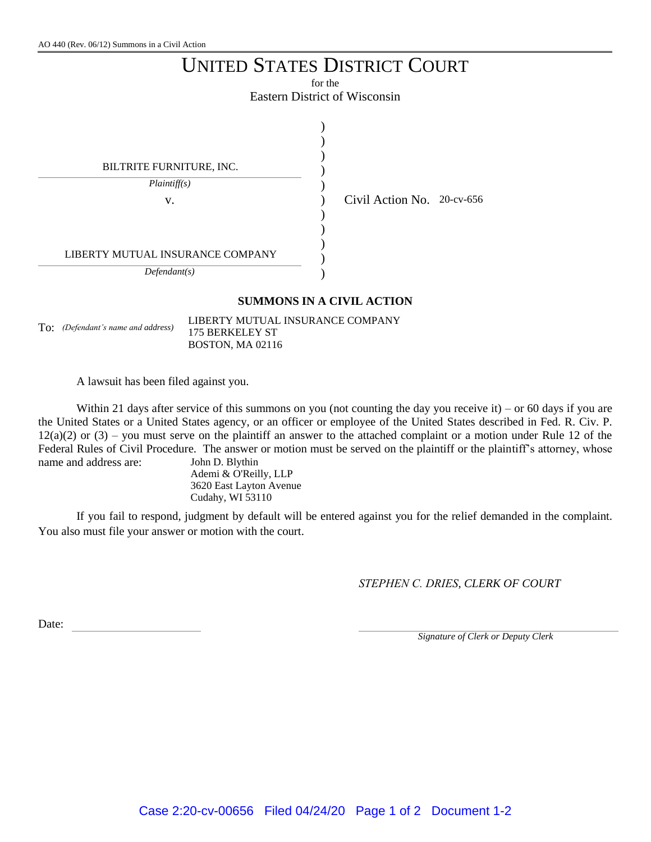# UNITED STATES DISTRICT COURT

for the Eastern District of Wisconsin

| BILTRITE FURNITURE, INC.         |                            |
|----------------------------------|----------------------------|
| Plaintiff(s)                     |                            |
| V.                               | Civil Action No. 20-cv-656 |
|                                  |                            |
|                                  |                            |
| LIBERTY MUTUAL INSURANCE COMPANY |                            |
| Defendant(s)                     |                            |

#### **SUMMONS IN A CIVIL ACTION**

To: *(Defendant's name and address)*

LIBERTY MUTUAL INSURANCE COMPANY 175 BERKELEY ST BOSTON, MA 02116

A lawsuit has been filed against you.

Within 21 days after service of this summons on you (not counting the day you receive it) – or 60 days if you are the United States or a United States agency, or an officer or employee of the United States described in Fed. R. Civ. P.  $12(a)(2)$  or  $(3)$  – you must serve on the plaintiff an answer to the attached complaint or a motion under Rule 12 of the Federal Rules of Civil Procedure. The answer or motion must be served on the plaintiff or the plaintiff's attorney, whose name and address are: John D. Blythin

Ademi & O'Reilly, LLP 3620 East Layton Avenue Cudahy, WI 53110

If you fail to respond, judgment by default will be entered against you for the relief demanded in the complaint. You also must file your answer or motion with the court.

*STEPHEN C. DRIES, CLERK OF COURT* 

Date:

*Signature of Clerk or Deputy Clerk*